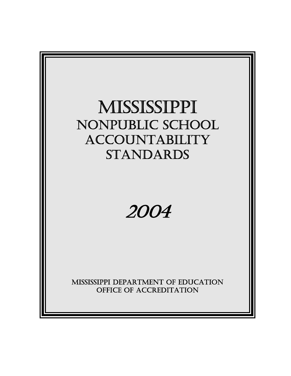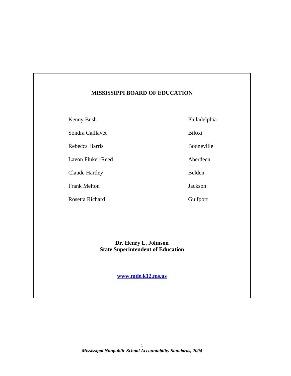### **MISSISSIPPI BOARD OF EDUCATION**

Kenny Bush Philadelphia

Sondra Caillavet Biloxi

Rebecca Harris Booneville

Lavon Fluker-Reed Aberdeen

Claude Hartley Belden

Frank Melton Jackson

Rosetta Richard Gulfport

### **Dr. Henry L. Johnson State Superintendent of Education**

**[www.mde.k12.ms.us](http://www.mde.k12.ms.us/)**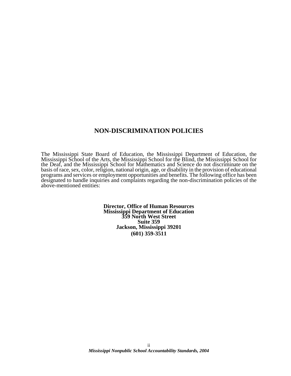### **NON-DISCRIMINATION POLICIES**

The Mississippi State Board of Education, the Mississippi Department of Education, the Mississippi School of the Arts, the Mississippi School for the Blind, the Mississippi School for the Deaf, and the Mississippi School for Mathematics and Science do not discriminate on the basis of race, sex, color, religion, national origin, age, or disability in the provision of educational programs and services or employment opportunities and benefits. The following office has been designated to handle inquiries and complaints regarding the non-discrimination policies of the above-mentioned entities:

> **Director, Office of Human Resources Mississippi Department of Education 359 North West Street Suite 359 Jackson, Mississippi 39201 (601) 359-3511**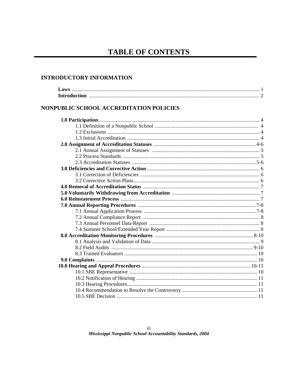# **TABLE OF CONTENTS**

### **INTRODUCTORY INFORMATION**

| NONPUBLIC SCHOOL ACCREDITATION POLICIES |  |
|-----------------------------------------|--|
|                                         |  |
|                                         |  |
|                                         |  |
|                                         |  |
|                                         |  |
|                                         |  |
|                                         |  |
|                                         |  |
|                                         |  |
|                                         |  |
|                                         |  |
|                                         |  |
|                                         |  |
|                                         |  |
|                                         |  |
|                                         |  |
|                                         |  |
|                                         |  |
|                                         |  |
|                                         |  |
|                                         |  |
|                                         |  |
|                                         |  |
|                                         |  |
|                                         |  |
|                                         |  |
|                                         |  |
|                                         |  |
|                                         |  |
|                                         |  |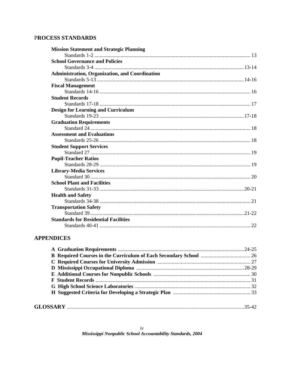# PROCESS STANDARDS

| <b>Mission Statement and Strategic Planning</b> |  |
|-------------------------------------------------|--|
|                                                 |  |
| <b>School Governance and Policies</b>           |  |
|                                                 |  |
| Administration, Organization, and Coordination  |  |
|                                                 |  |
| <b>Fiscal Management</b>                        |  |
|                                                 |  |
| <b>Student Records</b>                          |  |
|                                                 |  |
| <b>Design for Learning and Curriculum</b>       |  |
|                                                 |  |
| <b>Graduation Requirements</b>                  |  |
|                                                 |  |
| <b>Assessment and Evaluations</b>               |  |
|                                                 |  |
| <b>Student Support Services</b>                 |  |
|                                                 |  |
| <b>Pupil-Teacher Ratios</b>                     |  |
|                                                 |  |
| <b>Library-Media Services</b>                   |  |
|                                                 |  |
| <b>School Plant and Facilities</b>              |  |
|                                                 |  |
| <b>Health and Safety</b>                        |  |
|                                                 |  |
| <b>Transportation Safety</b>                    |  |
|                                                 |  |
| <b>Standards for Residential Facilities</b>     |  |
|                                                 |  |

### **APPENDICES**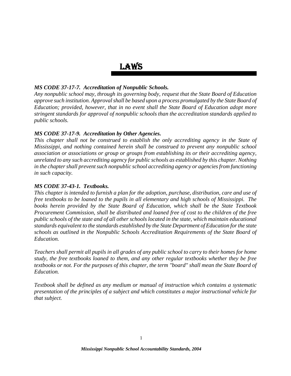# LAWS

### *MS CODE 37-17-7. Accreditation of Nonpublic Schools.*

*Any nonpublic school may, through its governing body, request that the State Board of Education approve such institution. Approval shall be based upon a process promulgated by the State Board of Education; provided, however, that in no event shall the State Board of Education adopt more stringent standards for approval of nonpublic schools than the accreditation standards applied to public schools.* 

### *MS CODE 37-17-9. Accreditation by Other Agencies.*

*This chapter shall not be construed to establish the only accrediting agency in the State of Mississippi, and nothing contained herein shall be construed to prevent any nonpublic school association or associations or group or groups from establishing its or their accrediting agency, unrelated to any such accrediting agency for public schools as established by this chapter. Nothing in the chapter shall prevent such nonpublic school accrediting agency or agencies from functioning in such capacity.* 

### *MS CODE 37-43-1. Textbooks.*

*This chapter is intended to furnish a plan for the adoption, purchase, distribution, care and use of free textbooks to be loaned to the pupils in all elementary and high schools of Mississippi. The books herein provided by the State Board of Education, which shall be the State Textbook Procurement Commission, shall be distributed and loaned free of cost to the children of the free public schools of the state and of all other schools located in the state, which maintain educational standards equivalent to the standards established by the State Department of Education for the state schools as outlined in the Nonpublic Schools Accreditation Requirements of the State Board of Education.* 

*Teachers shall permit all pupils in all grades of any public school to carry to their homes for home study, the free textbooks loaned to them, and any other regular textbooks whether they be free textbooks or not. For the purposes of this chapter, the term "board" shall mean the State Board of Education.* 

*Textbook shall be defined as any medium or manual of instruction which contains a systematic presentation of the principles of a subject and which constitutes a major instructional vehicle for that subject.*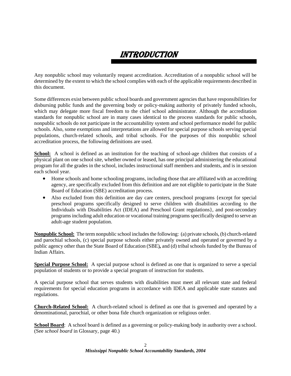# INTRODUCTION

Any nonpublic school may voluntarily request accreditation. Accreditation of a nonpublic school will be determined by the extent to which the school complies with each of the applicable requirements described in this document.

Some differences exist between public school boards and government agencies that have responsibilities for disbursing public funds and the governing body or policy-making authority of privately funded schools, which may delegate more fiscal freedom to the chief school administrator. Although the accreditation standards for nonpublic school are in many cases identical to the process standards for public schools, nonpublic schools do not participate in the accountability system and school performance model for public schools. Also, some exemptions and interpretations are allowed for special purpose schools serving special populations, church-related schools, and tribal schools. For the purposes of this nonpublic school accreditation process, the following definitions are used.

**School:** A school is defined as an institution for the teaching of school-age children that consists of a physical plant on one school site, whether owned or leased, has one principal administering the educational program for all the grades in the school, includes instructional staff members and students, and is in session each school year.

- Home schools and home schooling programs, including those that are affiliated with an accrediting agency, are specifically excluded from this definition and are not eligible to participate in the State Board of Education (SBE) accreditation process.
- Also excluded from this definition are day care centers, preschool programs {except for special preschool programs specifically designed to serve children with disabilities according to the Individuals with Disabilities Act (IDEA) and Preschool Grant regulations}, and post-secondary programs including adult education or vocational training programs specifically designed to serve an adult-age student population.

**Nonpublic School:** The term nonpublic school includes the following: (a) private schools, (b) church-related and parochial schools, (c) special purpose schools either privately owned and operated or governed by a public agency other than the State Board of Education (SBE)*,* and (d) tribal schools funded by the Bureau of Indian Affairs.

**Special Purpose School:** A special purpose school is defined as one that is organized to serve a special population of students or to provide a special program of instruction for students.

A special purpose school that serves students with disabilities must meet all relevant state and federal requirements for special education programs in accordance with IDEA and applicable state statutes and regulations.

**Church-Related School:** A church-related school is defined as one that is governed and operated by a denominational, parochial, or other bona fide church organization or religious order.

**School Board:** A school board is defined as a governing or policy-making body in authority over a school. (See *school board* in Glossary, page 40.)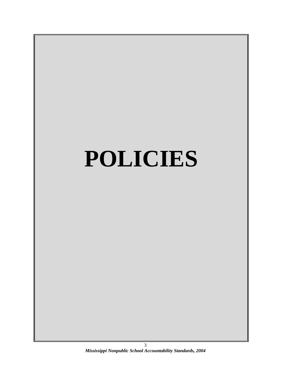# **POLICIES**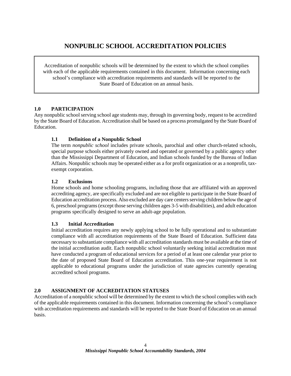# **NONPUBLIC SCHOOL ACCREDITATION POLICIES**

Accreditation of nonpublic schools will be determined by the extent to which the school complies with each of the applicable requirements contained in this document. Information concerning each school's compliance with accreditation requirements and standards will be reported to the State Board of Education on an annual basis.

### **1.0 PARTICIPATION**

Any nonpublic school serving school age students may, through its governing body, request to be accredited by the State Board of Education. Accreditation shall be based on a process promulgated by the State Board of Education.

### **1.1 Definition of a Nonpublic School**

The term *nonpublic school* includes private schools, parochial and other church-related schools, special purpose schools either privately owned and operated or governed by a public agency other than the Mississippi Department of Education, and Indian schools funded by the Bureau of Indian Affairs. Nonpublic schools may be operated either as a for profit organization or as a nonprofit, taxexempt corporation.

### **1.2 Exclusions**

Home schools and home schooling programs, including those that are affiliated with an approved accrediting agency, are specifically excluded and are not eligible to participate in the State Board of Education accreditation process. Also excluded are day care centers serving children below the age of 6, preschool programs (except those serving children ages 3-5 with disabilities), and adult education programs specifically designed to serve an adult-age population.

### **1.3 Initial Accreditation**

Initial accreditation requires any newly applying school to be fully operational and to substantiate compliance with all accreditation requirements of the State Board of Education. Sufficient data necessary to substantiate compliance with all accreditation standards must be available at the time of the initial accreditation audit. Each nonpublic school voluntarily seeking initial accreditation must have conducted a program of educational services for a period of at least one calendar year prior to the date of proposed State Board of Education accreditation. This one-year requirement is not applicable to educational programs under the jurisdiction of state agencies currently operating accredited school programs.

### **2.0 ASSIGNMENT OF ACCREDITATION STATUSES**

Accreditation of a nonpublic school will be determined by the extent to which the school complies with each of the applicable requirements contained in this document. Information concerning the school's compliance with accreditation requirements and standards will be reported to the State Board of Education on an annual basis.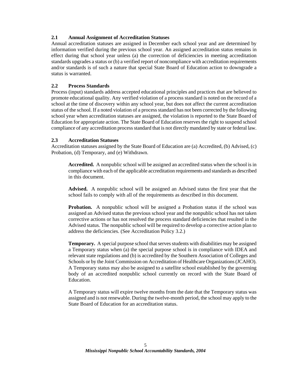### **2.1 Annual Assignment of Accreditation Statuses**

Annual accreditation statuses are assigned in December each school year and are determined by information verified during the previous school year. An assigned accreditation status remains in effect during that school year unless (a) the correction of deficiencies in meeting accreditation standards upgrades a status or (b) a verified report of noncompliance with accreditation requirements and/or standards is of such a nature that special State Board of Education action to downgrade a status is warranted.

### **2.2 Process Standards**

Process (input) standards address accepted educational principles and practices that are believed to promote educational quality. Any verified violation of a process standard is noted on the record of a school at the time of discovery within any school year, but does not affect the current accreditation status of the school. If a noted violation of a process standard has not been corrected by the following school year when accreditation statuses are assigned, the violation is reported to the State Board of Education for appropriate action. The State Board of Education reserves the right to suspend school compliance of any accreditation process standard that is not directly mandated by state or federal law.

### **2.3 Accreditation Statuses**

Accreditation statuses assigned by the State Board of Education are (a) Accredited, (b) Advised, (c) Probation, (d) Temporary, and (e) Withdrawn.

**Accredited.** A nonpublic school will be assigned an accredited status when the school is in compliance with each of the applicable accreditation requirements and standards as described in this document.

**Advised.** A nonpublic school will be assigned an Advised status the first year that the school fails to comply with all of the requirements as described in this document.

**Probation.** A nonpublic school will be assigned a Probation status if the school was assigned an Advised status the previous school year and the nonpublic school has not taken corrective actions or has not resolved the process standard deficiencies that resulted in the Advised status. The nonpublic school will be required to develop a corrective action plan to address the deficiencies. (See Accreditation Policy 3.2.)

**Temporary.** A special purpose school that serves students with disabilities may be assigned a Temporary status when (a) the special purpose school is in compliance with IDEA and relevant state regulations and (b) is accredited by the Southern Association of Colleges and Schools or by the Joint Commission on Accreditation of Healthcare Organizations (JCAHO). A Temporary status may also be assigned to a satellite school established by the governing body of an accredited nonpublic school currently on record with the State Board of Education.

A Temporary status will expire twelve months from the date that the Temporary status was assigned and is not renewable. During the twelve-month period, the school may apply to the State Board of Education for an accreditation status.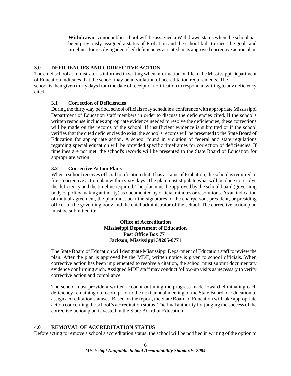**Withdrawn**. A nonpublic school will be assigned a Withdrawn status when the school has been previously assigned a status of Probation and the school fails to meet the goals and timelines for resolving identified deficiencies as stated in its approved corrective action plan.

### **3.0 DEFICIENCIES AND CORRECTIVE ACTION**

The chief school administrator is informed in writing when information on file in the Mississippi Department of Education indicates that the school may be in violation of accreditation requirements. The school is then given thirty days from the date of receipt of notification to respond in writing to any deficiency cited.

### **3.1 Correction of Deficiencies**

During the thirty-day period, school officials may schedule a conference with appropriate Mississippi Department of Education staff members in order to discuss the deficiencies cited. If the school's written response includes appropriate evidence needed to resolve the deficiencies, these corrections will be made on the records of the school. If insufficient evidence is submitted or if the school verifies that the cited deficiencies do exist, the school's records will be presented to the State Board of Education for appropriate action. A school found in violation of federal and state regulations regarding special education will be provided specific timeframes for correction of deficiencies. If timelines are not met, the school's records will be presented to the State Board of Education for appropriate action.

### **3.2 Corrective Action Plans**

When a school receives official notification that it has a status of Probation, the school is required to file a corrective action plan within sixty days. The plan must stipulate what will be done to resolve the deficiency and the timeline required. The plan must be approved by the school board (governing body or policy making authority) as documented by official minutes or resolutions. As an indication of mutual agreement, the plan must bear the signatures of the chairperson, president, or presiding officer of the governing body and the chief administrator of the school. The corrective action plan must be submitted to:

### **Office of Accreditation Mississippi Department of Education Post Office Box 771 Jackson, Mississippi 39205-0771**

The State Board of Education will designate Mississippi Department of Education staff to review the plan. After the plan is approved by the MDE, written notice is given to school officials. When corrective action has been implemented to resolve a citation, the school must submit documentary evidence confirming such. Assigned MDE staff may conduct follow-up visits as necessary to verify corrective action and compliance.

The school must provide a written account outlining the progress made toward eliminating each deficiency remaining on record prior to the next annual meeting of the State Board of Education to assign accreditation statuses. Based on the report, the State Board of Education will take appropriate action concerning the school's accreditation status. The final authority for judging the success of the corrective action plan is vested in the State Board of Education

### **4.0 REMOVAL OF ACCREDITATION STATUS**

Before acting to remove a school's accreditation status, the school will be notified in writing of the option to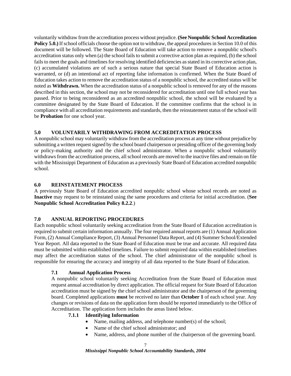voluntarily withdraw from the accreditation process without prejudice. **(See Nonpublic School Accreditation Policy 5.0.)** If school officials choose the option not to withdraw, the appeal procedures in Section 10.0 of this document will be followed. The State Board of Education will take action to remove a nonpublic school's accreditation status only when (a) the school fails to submit a corrective action plan as required, (b) the school fails to meet the goals and timelines for resolving identified deficiencies as stated in its corrective action plan, (c) accumulated violations are of such a serious nature that special State Board of Education action is warranted, or (d) an intentional act of reporting false information is confirmed. When the State Board of Education takes action to remove the accreditation status of a nonpublic school, the accredited status will be noted as **Withdrawn.** When the accreditation status of a nonpublic school is removed for any of the reasons described in this section, the school may not be reconsidered for accreditation until one full school year has passed. Prior to being reconsidered as an accredited nonpublic school, the school will be evaluated by a committee designated by the State Board of Education. If the committee confirms that the school is in compliance with all accreditation requirements and standards, then the reinstatement status of the school will be **Probation** for one school year.

### **5.0 VOLUNTARILY WITHDRAWING FROM ACCREDITATION PROCESS**

A nonpublic school may voluntarily withdraw from the accreditation process at any time without prejudice by submitting a written request signed by the school board chairperson or presiding officer of the governing body or policy-making authority and the chief school administrator. When a nonpublic school voluntarily withdraws from the accreditation process, all school records are moved to the inactive files and remain on file with the Mississippi Department of Education as a previously State Board of Education accredited nonpublic school.

### **6.0 REINSTATEMENT PROCESS**

A previously State Board of Education accredited nonpublic school whose school records are noted as **Inactive** may request to be reinstated using the same procedures and criteria for initial accreditation. (**See Nonpublic School Accreditation Policy 8.2.2**.)

### **7.0 ANNUAL REPORTING PROCEDURES**

Each nonpublic school voluntarily seeking accreditation from the State Board of Education accreditation is required to submit certain information annually. The four required annual reports are (1) Annual Application Form, (2) Annual Compliance Report, (3) Annual Personnel Data Report, and (4) Summer School/Extended Year Report. All data reported to the State Board of Education must be true and accurate. All required data must be submitted within established timelines. Failure to submit required data within established timelines may affect the accreditation status of the school. The chief administrator of the nonpublic school is responsible for ensuring the accuracy and integrity of all data reported to the State Board of Education.

### **7.1 Annual Application Process**

A nonpublic school voluntarily seeking Accreditation from the State Board of Education must request annual accreditation by direct application. The official request for State Board of Education accreditation must be signed by the chief school administrator and the chairperson of the governing board. Completed applications **must** be received no later than **October 1** of each school year. Any changes or revisions of data on the application form should be reported immediately to the Office of Accreditation. The application form includes the areas listed below.

### **7.1.1 Identifying Information**

- Name, mailing address, and telephone number(s) of the school;
- Name of the chief school administrator; and
- Name, address, and phone number of the chairperson of the governing board.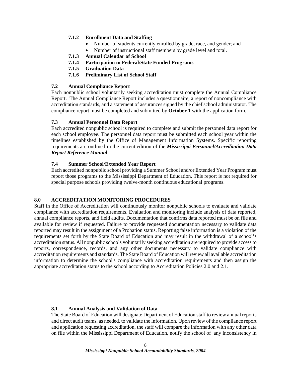### **7.1.2 Enrollment Data and Staffing**

- Number of students currently enrolled by grade, race, and gender; and
- Number of instructional staff members by grade level and total.
- **7.1.3 Annual Calendar of School**
- **7.1.4 Participation in Federal/State Funded Programs**
- **7.1.5 Graduation Data**
- **7.1.6 Preliminary List of School Staff**

### **7.2 Annual Compliance Report**

Each nonpublic school voluntarily seeking accreditation must complete the Annual Compliance Report. The Annual Compliance Report includes a questionnaire, a report of noncompliance with accreditation standards, and a statement of assurances signed by the chief school administrator. The compliance report must be completed and submitted by **October 1** with the application form.

### **7.3 Annual Personnel Data Report**

Each accredited nonpublic school is required to complete and submit the personnel data report for each school employee. The personnel data report must be submitted each school year within the timelines established by the Office of Management Information Systems. Specific reporting requirements are outlined in the current edition of the *Mississippi Personnel/Accreditation Data Report Reference Manual*.

### **7.4 Summer School/Extended Year Report**

Each accredited nonpublic school providing a Summer School and/or Extended Year Program must report those programs to the Mississippi Department of Education. This report is not required for special purpose schools providing twelve-month continuous educational programs.

### **8.0 ACCREDITATION MONITORING PROCEDURES**

Staff in the Office of Accreditation will continuously monitor nonpublic schools to evaluate and validate compliance with accreditation requirements. Evaluation and monitoring include analysis of data reported, annual compliance reports, and field audits. Documentation that confirms data reported must be on file and available for review if requested. Failure to provide requested documentation necessary to validate data reported may result in the assignment of a Probation status. Reporting false information is a violation of the requirements set forth by the State Board of Education and may result in the withdrawal of a school's accreditation status. All nonpublic schools voluntarily seeking accreditation are required to provide access to reports, correspondence, records, and any other documents necessary to validate compliance with accreditation requirements and standards. The State Board of Education will review all available accreditation information to determine the school's compliance with accreditation requirements and then assign the appropriate accreditation status to the school according to Accreditation Policies 2.0 and 2.1.

### **8.1 Annual Analysis and Validation of Data**

The State Board of Education will designate Department of Education staff to review annual reports and direct audit teams, as needed, to validate the information. Upon review of the compliance report and application requesting accreditation, the staff will compare the information with any other data on file within the Mississippi Department of Education, notify the school of any inconsistency in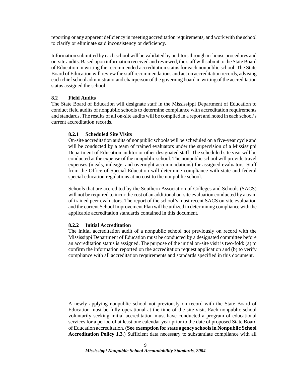reporting or any apparent deficiency in meeting accreditation requirements, and work with the school to clarify or eliminate said inconsistency or deficiency.

Information submitted by each school will be validated by auditors through in-house procedures and on-site audits. Based upon information received and reviewed, the staff will submit to the State Board of Education in writing the recommended accreditation status for each nonpublic school. The State Board of Education will review the staff recommendations and act on accreditation records, advising each chief school administrator and chairperson of the governing board in writing of the accreditation status assigned the school.

### **8.2 Field Audits**

The State Board of Education will designate staff in the Mississippi Department of Education to conduct field audits of nonpublic schools to determine compliance with accreditation requirements and standards. The results of all on-site audits will be compiled in a report and noted in each school's current accreditation records.

### **8.2.1 Scheduled Site Visits**

On-site accreditation audits of nonpublic schools will be scheduled on a five-year cycle and will be conducted by a team of trained evaluators under the supervision of a Mississippi Department of Education auditor or other designated staff. The scheduled site visit will be conducted at the expense of the nonpublic school. The nonpublic school will provide travel expenses (meals, mileage, and overnight accommodations) for assigned evaluators. Staff from the Office of Special Education will determine compliance with state and federal special education regulations at no cost to the nonpublic school.

Schools that are accredited by the Southern Association of Colleges and Schools (SACS) will not be required to incur the cost of an additional on-site evaluation conducted by a team of trained peer evaluators. The report of the school's most recent SACS on-site evaluation and the current School Improvement Plan will be utilized in determining compliance with the applicable accreditation standards contained in this document.

### **8.2.2 Initial Accreditation**

The initial accreditation audit of a nonpublic school not previously on record with the Mississippi Department of Education must be conducted by a designated committee before an accreditation status is assigned. The purpose of the initial on-site visit is two-fold: (a) to confirm the information reported on the accreditation request application and (b) to verify compliance with all accreditation requirements and standards specified in this document.

A newly applying nonpublic school not previously on record with the State Board of Education must be fully operational at the time of the site visit. Each nonpublic school voluntarily seeking initial accreditation must have conducted a program of educational services for a period of at least one calendar year prior to the date of proposed State Board of Education accreditation. (**See exemption for state agency schools in Nonpublic School Accreditation Policy 1.3**.) Sufficient data necessary to substantiate compliance with all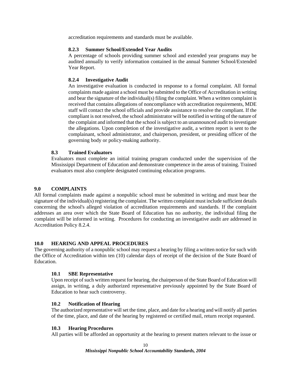accreditation requirements and standards must be available.

### **8.2.3 Summer School/Extended Year Audits**

A percentage of schools providing summer school and extended year programs may be audited annually to verify information contained in the annual Summer School/Extended Year Report.

### **8.2.4 Investigative Audit**

An investigative evaluation is conducted in response to a formal complaint. All formal complaints made against a school must be submitted to the Office of Accreditation in writing and bear the signature of the individual(s) filing the complaint. When a written complaint is received that contains allegations of noncompliance with accreditation requirements, MDE staff will contact the school officials and provide assistance to resolve the compliant. If the compliant is not resolved, the school administrator will be notified in writing of the nature of the complaint and informed that the school is subject to an unannounced audit to investigate the allegations. Upon completion of the investigative audit, a written report is sent to the complainant, school administrator, and chairperson, president, or presiding officer of the governing body or policy-making authority.

### **8.3 Trained Evaluators**

Evaluators must complete an initial training program conducted under the supervision of the Mississippi Department of Education and demonstrate competence in the areas of training. Trained evaluators must also complete designated continuing education programs.

### **9.0 COMPLAINTS**

All formal complaints made against a nonpublic school must be submitted in writing and must bear the signature of the individual(s) registering the complaint. The written complaint must include sufficient details concerning the school's alleged violation of accreditation requirements and standards. If the complaint addresses an area over which the State Board of Education has no authority, the individual filing the complaint will be informed in writing. Procedures for conducting an investigative audit are addressed in Accreditation Policy 8.2.4.

### **10.0 HEARING AND APPEAL PROCEDURES**

The governing authority of a nonpublic school may request a hearing by filing a written notice for such with the Office of Accreditation within ten (10) calendar days of receipt of the decision of the State Board of Education.

### **10.1 SBE Representative**

Upon receipt of such written request for hearing, the chairperson of the State Board of Education will assign, in writing, a duly authorized representative previously appointed by the State Board of Education to hear such controversy.

### **10.2 Notification of Hearing**

The authorized representative will set the time, place, and date for a hearing and will notify all parties of the time, place, and date of the hearing by registered or certified mail, return receipt requested.

### **10.3 Hearing Procedures**

All parties will be afforded an opportunity at the hearing to present matters relevant to the issue or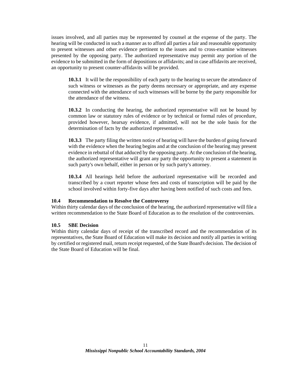issues involved, and all parties may be represented by counsel at the expense of the party. The hearing will be conducted in such a manner as to afford all parties a fair and reasonable opportunity to present witnesses and other evidence pertinent to the issues and to cross-examine witnesses presented by the opposing party. The authorized representative may permit any portion of the evidence to be submitted in the form of depositions or affidavits; and in case affidavits are received, an opportunity to present counter-affidavits will be provided.

 **10.3.1** It will be the responsibility of each party to the hearing to secure the attendance of such witness or witnesses as the party deems necessary or appropriate, and any expense connected with the attendance of such witnesses will be borne by the party responsible for the attendance of the witness.

 **10.3.2** In conducting the hearing, the authorized representative will not be bound by common law or statutory rules of evidence or by technical or formal rules of procedure, provided however, hearsay evidence, if admitted, will not be the sole basis for the determination of facts by the authorized representative.

 **10.3.3** The party filing the written notice of hearing will have the burden of going forward with the evidence when the hearing begins and at the conclusion of the hearing may present evidence in rebuttal of that adduced by the opposing party. At the conclusion of the hearing, the authorized representative will grant any party the opportunity to present a statement in such party's own behalf, either in person or by such party's attorney.

 **10.3.4** All hearings held before the authorized representative will be recorded and transcribed by a court reporter whose fees and costs of transcription will be paid by the school involved within forty-five days after having been notified of such costs and fees.

### **10.4 Recommendation to Resolve the Controversy**

Within thirty calendar days of the conclusion of the hearing, the authorized representative will file a written recommendation to the State Board of Education as to the resolution of the controversies.

### **10.5 SBE Decision**

Within thirty calendar days of receipt of the transcribed record and the recommendation of its representatives, the State Board of Education will make its decision and notify all parties in writing by certified or registered mail, return receipt requested, of the State Board's decision. The decision of the State Board of Education will be final.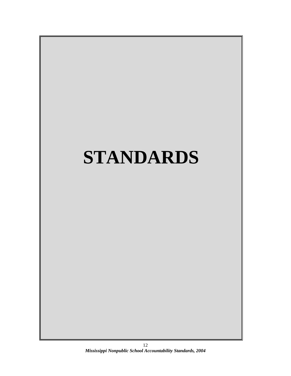# **STANDARDS**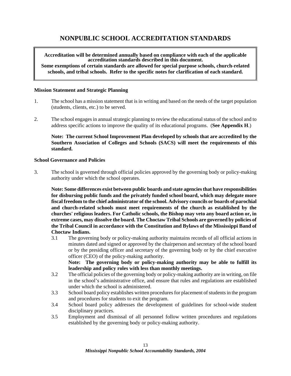# **NONPUBLIC SCHOOL ACCREDITATION STANDARDS**

**Accreditation will be determined annually based on compliance with each of the applicable accreditation standards described in this document. Some exemptions of certain standards are allowed for special purpose schools, church-related schools, and tribal schools. Refer to the specific notes for clarification of each standard.**

### **Mission Statement and Strategic Planning**

- 1. The school has a mission statement that is in writing and based on the needs of the target population (students, clients, etc.) to be served.
- 2. The school engages in annual strategic planning to review the educational status of the school and to address specific actions to improve the quality of its educational programs. (**See Appendix H**.)

**Note: The current School Improvement Plan developed by schools that are accredited by the Southern Association of Colleges and Schools (SACS) will meet the requirements of this standard.** 

### **School Governance and Policies**

3. The school is governed through official policies approved by the governing body or policy-making authority under which the school operates.

**Note: Some differences exist between public boards and state agencies that have responsibilities for disbursing public funds and the privately funded school board, which may delegate more fiscal freedom to the chief administrator of the school. Advisory councils or boards of parochial and church-related schools must meet requirements of the church as established by the churches' religious leaders. For Catholic schools, the Bishop may veto any board action or, in extreme cases, may dissolve the board. The Choctaw Tribal Schools are governed by policies of the Tribal Council in accordance with the Constitution and Bylaws of the Mississippi Band of Choctaw Indians.**

3.1 The governing body or policy-making authority maintains records of all official actions in minutes dated and signed or approved by the chairperson and secretary of the school board or by the presiding officer and secretary of the governing body or by the chief executive officer (CEO) of the policy-making authority.

 **Note: The governing body or policy-making authority may be able to fulfill its leadership and policy roles with less than monthly meetings.** 

- 3.2 The official policies of the governing body or policy-making authority are in writing, on file in the school's administrative office, and ensure that rules and regulations are established under which the school is administered.
- 3.3 School board policy establishes written procedures for placement of students in the program and procedures for students to exit the program.
- 3.4 School board policy addresses the development of guidelines for school-wide student disciplinary practices.
- 3.5 Employment and dismissal of all personnel follow written procedures and regulations established by the governing body or policy-making authority.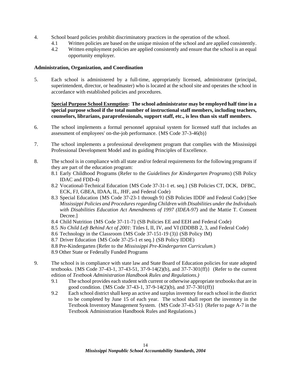- 4. School board policies prohibit discriminatory practices in the operation of the school.
	- 4.1 Written policies are based on the unique mission of the school and are applied consistently.
	- 4.2 Written employment policies are applied consistently and ensure that the school is an equal opportunity employer.

### **Administration, Organization, and Coordination**

5. Each school is administered by a full-time, appropriately licensed, administrator (principal, superintendent, director, or headmaster) who is located at the school site and operates the school in accordance with established policies and procedures.

### **Special Purpose School Exemption: The school administrator may be employed half time in a special purpose school if the total number of instructional staff members, including teachers, counselors, librarians, paraprofessionals, support staff, etc., is less than six staff members.**

- 6. The school implements a formal personnel appraisal system for licensed staff that includes an assessment of employees' on-the-job performance. {MS Code 37-3-46(b)}
- 7. The school implements a professional development program that complies with the Mississippi Professional Development Model and its guiding Principles of Excellence.
- 8. The school is in compliance with all state and/or federal requirements for the following programs if they are part of the education program:
	- 8.1 Early Childhood Programs (Refer to the *Guidelines for Kindergarten Programs*) (SB Policy IDAC and FDD-4)
	- 8.2 Vocational-Technical Education {MS Code 37-31-1 et. seq.} (SB Policies CT, DCK, DFBC, ECK, FJ, GBEA, IDAA, IL, JHF, and Federal Code)
	- 8.3 Special Education {MS Code 37-23-1 through 9} (SB Policies IDDF and Federal Code) [See *Mississippi Policies and Procedures regarding Children with Disabilities under the Individuals with Disabilities Education Act Amendments of 1997 (IDEA-97)* and the Mattie T. Consent Decree.]
	- 8.4 Child Nutrition {MS Code 37-11-7} (SB Policies EE and EEH and Federal Code)
	- 8.5 *No Child Left Behind Act of 2001*: Titles I, II, IV, and VI (IDDBB 2, 3, and Federal Code)
	- 8.6 Technology in the Classroom {MS Code 37-151-19 (3)} (SB Policy IM)
	- 8.7 Driver Education {MS Code 37-25-1 et seq.} (SB Policy IDDE)
	- 8*.*8 Pre-Kindergarten (Refer to the *Mississippi Pre-Kindergarten Curriculum*.)
	- 8.9 Other State or Federally Funded Programs
- 9. The school is in compliance with state law and State Board of Education policies for state adopted textbooks. {MS Code 37-43-1, 37-43-51, 37-9-14(2)(b), and 37-7-301(ff)} (Refer to the current edition of *Textbook Administration Handbook Rules and Regulations.)*
	- 9.1 The school provides each student with current or otherwise appropriate textbooks that are in good condition. {MS Code 37-43-1, 37-9-14(2)(b), and 37-7-301(ff)}
	- 9.2 Each school district shall keep an active and surplus inventory for each school in the district to be completed by June 15 of each year. The school shall report the inventory in the Textbook Inventory Management System. {MS Code 37-43-51} (Refer to page A-7 in the Textbook Administration Handbook Rules and Regulations.)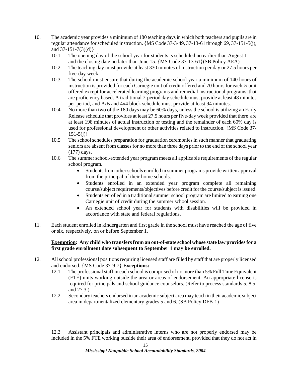- 10. The academic year provides a minimum of 180 teaching days in which both teachers and pupils are in regular attendance for scheduled instruction. {MS Code 37-3-49, 37-13-61 through 69, 37-151-5(j), and  $37-151-7(3)(d)$ 
	- 10.1 The opening day of the school year for students is scheduled no earlier than August 1 and the closing date no later than June 15. {MS Code 37-13-61}(SB Policy AEA)
	- 10.2 The teaching day must provide at least 330 minutes of instruction per day or 27.5 hours per five-day week.
	- 10.3 The school must ensure that during the academic school year a minimum of 140 hours of instruction is provided for each Carnegie unit of credit offered and 70 hours for each ½ unit offered except for accelerated learning programs and remedial instructional programs that are proficiency based. A traditional 7-period day schedule must provide at least 48 minutes per period, and A/B and 4x4 block schedule must provide at least 94 minutes.
	- 10.4 No more than two of the 180 days may be 60% days, unless the school is utilizing an Early Release schedule that provides at least 27.5 hours per five-day week provided that there are at least 198 minutes of actual instruction or testing and the remainder of each 60% day is used for professional development or other activities related to instruction. {MS Code 37-  $151-5(i)$
	- 10.5 The school schedules preparation for graduation ceremonies in such manner that graduating seniors are absent from classes for no more than three days prior to the end of the school year (177) days.
	- 10.6 The summer school/extended year program meets all applicable requirements of the regular school program.
		- Students from other schools enrolled in summer programs provide written approval from the principal of their home schools.
		- Students enrolled in an extended year program complete all remaining course/subject requirements/objectives before credit for the course/subject is issued.
		- Students enrolled in a traditional summer school program are limited to earning one Carnegie unit of credit during the summer school session.
		- An extended school year for students with disabilities will be provided in accordance with state and federal regulations.
- 11. Each student enrolled in kindergarten and first grade in the school must have reached the age of five or six, respectively, on or before September 1.

### **Exemption: Any child who transfers from an out-of-state school whose state law provides for a first grade enrollment date subsequent to September 1 may be enrolled.**

- 12. All school professional positions requiring licensed staff are filled by staff that are properly licensed and endorsed. {MS Code 37-9-7} **Exceptions:** 
	- 12.1 The professional staff in each school is comprised of no more than 5% Full Time Equivalent (FTE) units working outside the area or areas of endorsement. An appropriate license is required for principals and school guidance counselors. (Refer to process standards 5, 8.5, and 27.3.)
	- 12.2 Secondary teachers endorsed in an academic subject area may teach in their academic subject area in departmentalized elementary grades 5 and 6. (SB Policy DFB-1)

 12.3 Assistant principals and administrative interns who are not properly endorsed may be included in the 5% FTE working outside their area of endorsement, provided that they do not act in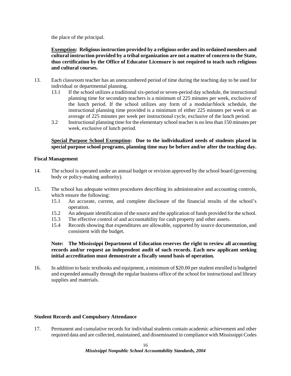the place of the principal.

**Exemption: Religious instruction provided by a religious order and its ordained members and cultural instruction provided by a tribal organization are not a matter of concern to the State, thus certification by the Office of Educator Licensure is not required to teach such religious and cultural courses.** 

- 13. Each classroom teacher has an unencumbered period of time during the teaching day to be used for individual or departmental planning.
	- 13.1 If the school utilizes a traditional six-period or seven-period day schedule, the instructional planning time for secondary teachers is a minimum of 225 minutes per week, exclusive of the lunch period. If the school utilizes any form of a modular/block schedule, the instructional planning time provided is a minimum of either 225 minutes per week or an average of 225 minutes per week per instructional cycle, exclusive of the lunch period.
	- 3.2 Instructional planning time for the elementary school teacher is no less than 150 minutes per week, exclusive of lunch period.

### **Special Purpose School Exemption: Due to the individualized needs of students placed in special purpose school programs, planning time may be before and/or after the teaching day.**

### **Fiscal Management**

- 14. The school is operated under an annual budget or revision approved by the school board (governing body or policy-making authority).
- 15. The school has adequate written procedures describing its administrative and accounting controls, which ensure the following:
	- 15.1 An accurate, current, and complete disclosure of the financial results of the school's operation.
	- 15.2 An adequate identification of the source and the application of funds provided for the school.
	- 15.3 The effective control of and accountability for cash property and other assets.
	- 15.4 Records showing that expenditures are allowable, supported by source documentation, and consistent with the budget.

 **Note: The Mississippi Department of Education reserves the right to review all accounting records and/or request an independent audit of such records. Each new applicant seeking initial accreditation must demonstrate a fiscally sound basis of operation.**

16. In addition to basic textbooks and equipment, a minimum of \$20.00 per student enrolled is budgeted and expended annually through the regular business office of the school for instructional and library supplies and materials.

### **Student Records and Compulsory Attendance**

17. Permanent and cumulative records for individual students contain academic achievement and other required data and are collected, maintained, and disseminated in compliance with Mississippi Codes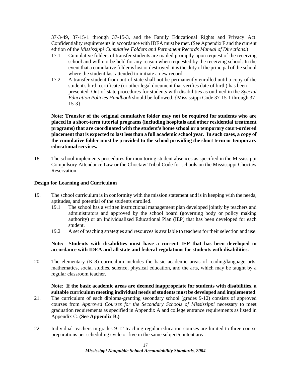37-3-49, 37-15-1 through 37-15-3, and the Family Educational Rights and Privacy Act. Confidentiality requirements in accordance with IDEA must be met. (See Appendix F and the current edition of the *Mississippi Cumulative Folders and Permanent Records Manual of Directions*.)

- 17.1 Cumulative folders of transfer students are mailed promptly upon request of the receiving school and will not be held for any reason when requested by the receiving school. In the event that a cumulative folder is lost or destroyed, it is the duty of the principal of the school where the student last attended to initiate a new record.
- 17.2 A transfer student from out-of-state shall not be permanently enrolled until a copy of the student's birth certificate (or other legal document that verifies date of birth) has been presented. Out-of-state procedures for students with disabilities as outlined in the *Special Education Policies Handbook* should be followed. {Mississippi Code 37-15-1 through 37- 15-3}

**Note: Transfer of the original cumulative folder may not be required for students who are placed in a short-term tutorial programs (including hospitals and other residential treatment programs) that are coordinated with the student's home school or a temporary court-ordered placement that is expected to last less than a full academic school year. In such cases, a copy of the cumulative folder must be provided to the school providing the short term or temporary educational services.** 

18. The school implements procedures for monitoring student absences as specified in the Mississippi Compulsory Attendance Law or the Choctaw Tribal Code for schools on the Mississippi Choctaw Reservation.

### **Design for Learning and Curriculum**

- 19. The school curriculum is in conformity with the mission statement and is in keeping with the needs, aptitudes, and potential of the students enrolled.
	- 19.1 The school has a written instructional management plan developed jointly by teachers and administrators and approved by the school board (governing body or policy making authority) or an Individualized Educational Plan (IEP) that has been developed for each student.
	- 19.2 A set of teaching strategies and resources is available to teachers for their selection and use.

### **Note: Students with disabilities must have a current IEP that has been developed in accordance with IDEA and all state and federal regulations for students with disabilities.**

20. The elementary (K-8) curriculum includes the basic academic areas of reading/language arts, mathematics, social studies, science, physical education*,* and the arts, which may be taught by a regular classroom teacher.

### **Note**: **If the basic academic areas are deemed inappropriate for students with disabilities, a suitable curriculum meeting individual needs of students must be developed and implemented**.

- 21. The curriculum of each diploma-granting secondary school (grades 9-12) consists of approved courses from *Approved Courses for the Secondary Schools of Mississippi* necessary to meet graduation requirements as specified in Appendix A and college entrance requirements as listed in Appendix C. **(See Appendix B.)**
- 22. Individual teachers in grades 9-12 teaching regular education courses are limited to three course preparations per scheduling cycle or five in the same subject/content area.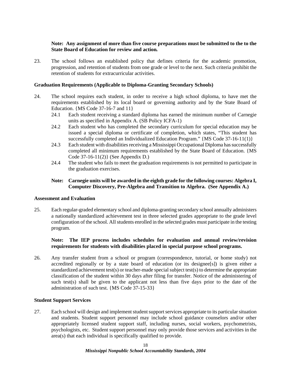### **Note: Any assignment of more than five course preparations must be submitted to the to the State Board of Education for review and action***.*

23. The school follows an established policy that defines criteria for the academic promotion, progression, and retention of students from one grade or level to the next. Such criteria prohibit the retention of students for extracurricular activities.

### **Graduation Requirements (Applicable to Diploma-Granting Secondary Schools)**

- 24. The school requires each student, in order to receive a high school diploma, to have met the requirements established by its local board or governing authority and by the State Board of Education. {MS Code 37-16-7 and 11}
	- 24.1 Each student receiving a standard diploma has earned the minimum number of Carnegie units as specified in Appendix A. (SB Policy ICFA-1)
	- 24.2 Each student who has completed the secondary curriculum for special education may be issued a special diploma or certificate of completion, which states, "This student has successfully completed an Individualized Education Program." {MS Code 37-16-11(1)}
	- 24.3 Each student with disabilities receiving a Mississippi Occupational Diploma has successfully completed all minimum requirements established by the State Board of Education. {MS Code 37-16-11(2)} (See Appendix D.)
	- 24.4 The student who fails to meet the graduation requirements is not permitted to participate in the graduation exercises.

### **Note: Carnegie units will be awarded in the eighth grade for the following courses: Algebra I, Computer Discovery, Pre-Algebra and Transition to Algebra. (See Appendix A.)**

### **Assessment and Evaluation**

25. Each regular-graded elementary school and diploma-granting secondary school annually administers a nationally standardized achievement test in three selected grades appropriate to the grade level configuration of the school. All students enrolled in the selected grades must participate in the testing program.

### **Note: The IEP process includes schedules for evaluation and annual review/revision requirements for students with disabilities placed in special purpose school programs.**

26. Any transfer student from a school or program (correspondence, tutorial, or home study) not accredited regionally or by a state board of education (or its designee[s]) is given either a standardized achievement test(s) or teacher-made special subject test(s) to determine the appropriate classification of the student within 30 days after filing for transfer. Notice of the administering of such test(s) shall be given to the applicant not less than five days prior to the date of the administration of such test. {MS Code 37-15-33}

### **Student Support Services**

27. Each school will design and implement student support services appropriate to its particular situation and students. Student support personnel may include school guidance counselors and/or other appropriately licensed student support staff, including nurses, social workers, psychometrists, psychologists, etc. Student support personnel may only provide those services and activities in the area(s) that each individual is specifically qualified to provide.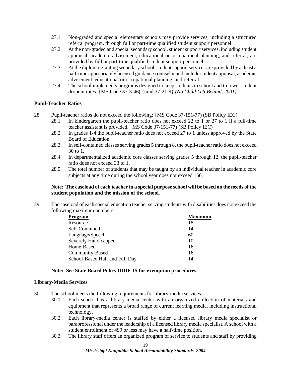- 27.1 Non-graded and special elementary schools may provide services, including a structured referral program, through full or part-time qualified student support personnel.
- 27.2 At the non-graded and special secondary school, student support services, including student appraisal, academic advisement, educational or occupational planning, and referral, are provided by full or part-time qualified student support personnel.
- 27.3 At the diploma-granting secondary school, student support services are provided by at least a half-time appropriately licensed guidance counselor and include student appraisal, academic advisement, educational or occupational planning, and referral.
- 27.4 The school implements programs designed to keep students in school and to lower student dropout rates. {MS Code 37-3-46(c) and 37-21-9} *(No Child Left Behind, 2001)*

### **Pupil-Teacher Ratios**

- 28. Pupil-teacher ratios do not exceed the following: {MS Code 37-151-77) (SB Policy IEC)
	- 28.1 In kindergarten the pupil-teacher ratio does not exceed 22 to 1 or 27 to 1 if a full-time teacher assistant is provided. {MS Code 37-151-77) (SB Policy IEC)
	- 28.2 In grades 1-4 the pupil-teacher ratio does not exceed 27 to 1 unless approved by the State Board of Education.
	- 28.3 In self-contained classes serving grades 5 through 8, the pupil-teacher ratio does not exceed 30 to 1.
	- 28.4 In departmentalized academic core classes serving grades 5 through 12, the pupil-teacher ratio does not exceed 33 to 1.
	- 28.5 The total number of students that may be taught by an individual teacher in academic core subjects at any time during the school year does not exceed 150.

### **Note: The caseload of each teacher in a special purpose school will be based on the needs of the student population and the mission of the school.**

29. The caseload of each special education teacher serving students with disabilities does not exceed the following maximum numbers:

| Program                        | <b>Maximum</b> |
|--------------------------------|----------------|
| Resource                       | 18             |
| Self-Contained                 | 14             |
| Language/Speech                | 60             |
| Severely Handicapped           | 10             |
| Home-Based                     | 16             |
| Community-Based                | 16             |
| School-Based Half and Full Day | 14             |
|                                |                |

### **Note: See State Board Policy IDDF-15 for exemption procedures.**

### **Library-Media Services**

- 30. The school meets the following requirements for library-media services.
	- 30.1 Each school has a library-media center with an organized collection of materials and equipment that represents a broad range of current learning media, including instructional technology.
	- 30.2 Each library-media center is staffed by either a licensed library media specialist or paraprofessional under the leadership of a licensed library media specialist. A school with a student enrollment of 499 or less may have a half-time position.
	- 30.3 The library staff offers an organized program of service to students and staff by providing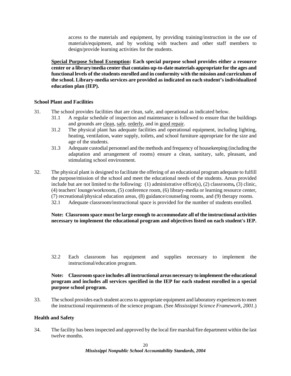access to the materials and equipment, by providing training/instruction in the use of materials/equipment, and by working with teachers and other staff members to design/provide learning activities for the students.

**Special Purpose School Exemption: Each special purpose school provides either a resource center or a library/media center that contains up-to-date materials appropriate for the ages and functional levels of the students enrolled and in conformity with the mission and curriculum of the school. Library-media services are provided as indicated on each student's individualized education plan (IEP).** 

### **School Plant and Facilities**

- 31. The school provides facilities that are clean, safe, and operational as indicated below.
	- 31.1 A regular schedule of inspection and maintenance is followed to ensure that the buildings and grounds are clean, safe, orderly, and in good repair.
	- 31.2 The physical plant has adequate facilities and operational equipment, including lighting, heating, ventilation, water supply, toilets, and school furniture appropriate for the size and age of the students.
	- 31.3 Adequate custodial personnel and the methods and frequency of housekeeping (including the adaptation and arrangement of rooms) ensure a clean, sanitary, safe, pleasant, and stimulating school environment.
- 32. The physical plant is designed to facilitate the offering of an educational program adequate to fulfill the purpose/mission of the school and meet the educational needs of the students. Areas provided include but are not limited to the following: (1) administrative office(s), (2) classrooms*,* (3) clinic, (4) teachers' lounge/workroom, (5) conference room, (6) library-media or learning resource center, (7) recreational/physical education areas, (8) guidance/counseling rooms, and (9) therapy rooms. 32.1 Adequate classroom/instructional space is provided for the number of students enrolled.

### **Note: Classroom space must be large enough to accommodate all of the instructional activities necessary to implement the educational program and objectives listed on each student's IEP.**

 32.2 Each classroom has equipment and supplies necessary to implement the instructional/education program.

### **Note: Classroom space includes all instructional areas necessary to implement the educational program and includes all services specified in the IEP for each student enrolled in a special purpose school program.**

33. The school provides each student access to appropriate equipment and laboratory experiences to meet the instructional requirements of the science program. (See *Mississippi Science Framework, 2001*.)

### **Health and Safety**

34. The facility has been inspected and approved by the local fire marshal/fire department within the last twelve months.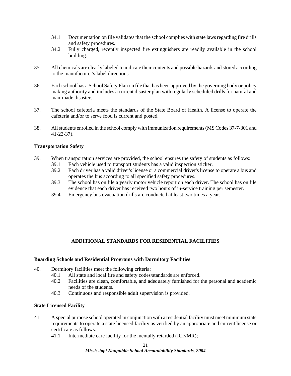- 34.1 Documentation on file validates that the school complies with state laws regarding fire drills and safety procedures.
- 34.2 Fully charged, recently inspected fire extinguishers are readily available in the school building.
- 35. All chemicals are clearly labeled to indicate their contents and possible hazards and stored according to the manufacturer's label directions.
- 36. Each school has a School Safety Plan on file that has been approved by the governing body or policy making authority and includes a current disaster plan with regularly scheduled drills for natural and man-made disasters.
- 37. The school cafeteria meets the standards of the State Board of Health. A license to operate the cafeteria and/or to serve food is current and posted.
- 38. All students enrolled in the school comply with immunization requirements (MS Codes 37-7-301 and 41-23-37).

### **Transportation Safety**

- 39. When transportation services are provided, the school ensures the safety of students as follows:
	- 39.1 Each vehicle used to transport students has a valid inspection sticker.<br>39.2 Each driver has a valid driver's license or a commercial driver's license
	- Each driver has a valid driver's license or a commercial driver's license to operate a bus and operates the bus according to all specified safety procedures.
	- 39.3 The school has on file a yearly motor vehicle report on each driver. The school has on file evidence that each driver has received two hours of in-service training per semester.
	- 39.4 Emergency bus evacuation drills are conducted at least two times a year.

### **ADDITIONAL STANDARDS FOR RESIDENTIAL FACILITIES**

### **Boarding Schools and Residential Programs with Dormitory Facilities**

- 40. Dormitory facilities meet the following criteria:
	- 40.1 All state and local fire and safety codes/standards are enforced.
	- 40.2 Facilities are clean, comfortable, and adequately furnished for the personal and academic needs of the students.
	- 40.3 Continuous and responsible adult supervision is provided.

### **State Licensed Facility**

- 41. A special purpose school operated in conjunction with a residential facility must meet minimum state requirements to operate a state licensed facility as verified by an appropriate and current license or certificate as follows:
	- 41.1 Intermediate care facility for the mentally retarded (ICF/MR);

### *Mississippi Nonpublic School Accountability Standards, 2004*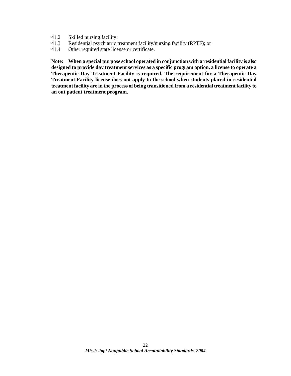- 41.2 Skilled nursing facility;
- 41.3 Residential psychiatric treatment facility/nursing facility (RPTF); or
- 41.4 Other required state license or certificate.

**Note: When a special purpose school operated in conjunction with a residential facility is also designed to provide day treatment services as a specific program option, a license to operate a Therapeutic Day Treatment Facility is required. The requirement for a Therapeutic Day Treatment Facility license does not apply to the school when students placed in residential treatment facility are in the process of being transitioned from a residential treatment facility to an out patient treatment program.**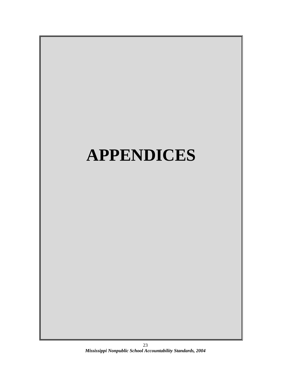# **APPENDICES**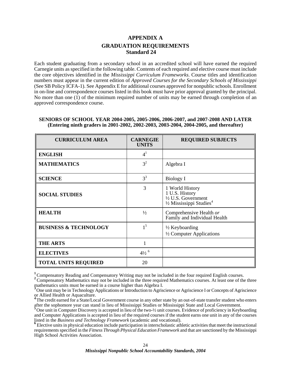### **APPENDIX A GRADUATION REQUIREMENTS Standard 24**

Each student graduating from a secondary school in an accredited school will have earned the required Carnegie units as specified in the following table. Contents of each required and elective course must include the core objectives identified in the *Mississippi Curriculum Frameworks*. Course titles and identification numbers must appear in the current edition of *Approved Courses for the Secondary Schools of Mississippi* (See SB Policy ICFA-1). See Appendix E for additional courses approved for nonpublic schools. Enrollment in on-line and correspondence courses listed in this book must have prior approval granted by the principal. No more than one  $(1)$  of the minimum required number of units may be earned through completion of an approved correspondence course.

### **SENIORS OF SCHOOL YEAR 2004-2005, 2005-2006, 2006-2007, and 2007-2008 AND LATER (Entering ninth graders in 2001-2002, 2002-2003, 2003-2004, 2004-2005, and thereafter)**

| <b>CURRICULUM AREA</b>           | <b>CARNEGIE</b><br><b>UNITS</b> | <b>REQUIRED SUBJECTS</b>                                                                                             |
|----------------------------------|---------------------------------|----------------------------------------------------------------------------------------------------------------------|
| <b>ENGLISH</b>                   | 4 <sup>1</sup>                  |                                                                                                                      |
| <b>MATHEMATICS</b>               | 3 <sup>2</sup>                  | Algebra I                                                                                                            |
| <b>SCIENCE</b>                   | $3^3$                           | Biology I                                                                                                            |
| <b>SOCIAL STUDIES</b>            | 3                               | 1 World History<br>1 U.S. History<br>$\frac{1}{2}$ U.S. Government<br>$\frac{1}{2}$ Mississippi Studies <sup>4</sup> |
| <b>HEALTH</b>                    | $\frac{1}{2}$                   | Comprehensive Health or<br>Family and Individual Health                                                              |
| <b>BUSINESS &amp; TECHNOLOGY</b> | 1 <sup>5</sup>                  | $\frac{1}{2}$ Keyboarding<br>1/2 Computer Applications                                                               |
| <b>THE ARTS</b>                  |                                 |                                                                                                                      |
| <b>ELECTIVES</b>                 | $4\frac{1}{2}$ <sup>6</sup>     |                                                                                                                      |
| <b>TOTAL UNITS REQUIRED</b>      | 20                              |                                                                                                                      |

<sup>1</sup> Compensatory Reading and Compensatory Writing may not be included in the four required English courses.<br><sup>2</sup> Compensatory Mathematics may not be included in the three required Mathematics courses. At least one of the t mathematics units must be earned in a course higher than Algebra I.<br><sup>3</sup>One unit may be in Technology Applications or Introduction to Agrics.

One unit may be in Technology Applications or Introduction to Agriscience or Agriscience I or Concepts of Agriscience or Allied Health or Aquaculture.

The credit earned for a State/Local Government course in any other state by an out-of-state transfer student who enters after the sophomore year can stand in lieu of Mississippi Studies or Mississippi State and Local Government.

One unit in Computer Discovery is accepted in lieu of the two-½ unit courses. Evidence of proficiency in Keyboarding and Computer Applications is accepted in lieu of the required courses if the student earns one unit in any of the courses listed in the *Business and Technology Framework* (academic and vocational). <sup>6</sup> Elective units in physical education include participation in interscholastic athletic activities that meet the instructional

requirements specified in the *Fitness Through Physical Education Framework* and that are sanctioned by the Mississippi High School Activities Association.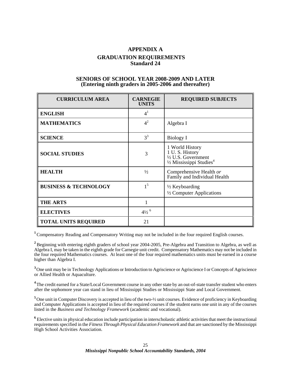### **APPENDIX A GRADUATION REQUIREMENTS Standard 24**

### **SENIORS OF SCHOOL YEAR 2008-2009 AND LATER (Entering ninth graders in 2005-2006 and thereafter)**

| <b>CURRICULUM AREA</b>           | <b>CARNEGIE</b><br><b>UNITS</b> | <b>REQUIRED SUBJECTS</b>                                                                                             |
|----------------------------------|---------------------------------|----------------------------------------------------------------------------------------------------------------------|
| <b>ENGLISH</b>                   | 4 <sup>1</sup>                  |                                                                                                                      |
| <b>MATHEMATICS</b>               | $4^2$                           | Algebra I                                                                                                            |
| <b>SCIENCE</b>                   | $3^3$                           | <b>Biology I</b>                                                                                                     |
| <b>SOCIAL STUDIES</b>            | 3                               | 1 World History<br>1 U.S. History<br>$\frac{1}{2}$ U.S. Government<br>$\frac{1}{2}$ Mississippi Studies <sup>4</sup> |
| <b>HEALTH</b>                    | $\frac{1}{2}$                   | Comprehensive Health or<br>Family and Individual Health                                                              |
| <b>BUSINESS &amp; TECHNOLOGY</b> | 1 <sup>5</sup>                  | $\frac{1}{2}$ Keyboarding<br>1/2 Computer Applications                                                               |
| <b>THE ARTS</b>                  | 1                               |                                                                                                                      |
| <b>ELECTIVES</b>                 | $4\frac{1}{2}$ <sup>6</sup>     |                                                                                                                      |
| <b>TOTAL UNITS REQUIRED</b>      | 21                              |                                                                                                                      |

<sup>1</sup> Compensatory Reading and Compensatory Writing may not be included in the four required English courses.

<sup>2</sup> Beginning with entering eighth graders of school year 2004-2005, Pre-Algebra and Transition to Algebra, as well as Algebra I, may be taken in the eighth grade for Carnegie unit credit. Compensatory Mathematics may not be included in the four required Mathematics courses. At least one of the four required mathematics units must be earned in a course higher than Algebra I.

<sup>3</sup> One unit may be in Technology Applications or Introduction to Agriscience or Agriscience I or Concepts of Agriscience or Allied Health or Aquaculture.

<sup>4</sup>The credit earned for a State/Local Government course in any other state by an out-of-state transfer student who enters after the sophomore year can stand in lieu of Mississippi Studies or Mississippi State and Local Government.

<sup>5</sup> One unit in Computer Discovery is accepted in lieu of the two-½ unit courses. Evidence of proficiency in Keyboarding and Computer Applications is accepted in lieu of the required courses if the student earns one unit in any of the courses listed in the *Business and Technology Framework* (academic and vocational).

**<sup>6</sup>** Elective units in physical education include participation in interscholastic athletic activities that meet the instructional requirements specified in the *Fitness Through Physical Education Framework* and that are sanctioned by the Mississippi High School Activities Association.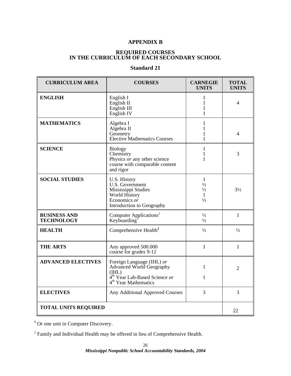### **APPENDIX B**

### **REQUIRED COURSES IN THE CURRICULUM OF EACH SECONDARY SCHOOL**

### **Standard 21**

| <b>CURRICULUM AREA</b>                   | <b>COURSES</b>                                                                                                                                  | <b>CARNEGIE</b><br><b>UNITS</b>                                      | <b>TOTAL</b><br><b>UNITS</b> |
|------------------------------------------|-------------------------------------------------------------------------------------------------------------------------------------------------|----------------------------------------------------------------------|------------------------------|
| <b>ENGLISH</b>                           | English I<br>English II<br>English III<br>English <sub>IV</sub>                                                                                 | 1<br>1<br>1<br>1                                                     | 4                            |
| <b>MATHEMATICS</b>                       | Algebra I<br>Algebra II<br>Geometry<br><b>Elective Mathematics Courses</b>                                                                      | $\mathbf{1}$<br>$\mathbf{1}$<br>1                                    | 4                            |
| <b>SCIENCE</b>                           | <b>Biology</b><br>Chemistry<br>Physics or any other science<br>course with comparable content<br>and rigor                                      | 1<br>$\mathbf{1}$<br>1                                               | 3                            |
| <b>SOCIAL STUDIES</b>                    | U.S. History<br>U.S. Government<br>Mississippi Studies<br>World History<br>Economics or<br>Introduction to Geography                            | $\mathbf{1}$<br>$\frac{1}{2}$<br>$\frac{1}{2}$<br>1<br>$\frac{1}{2}$ | $3\frac{1}{2}$               |
| <b>BUSINESS AND</b><br><b>TECHNOLOGY</b> | Computer Applications <sup>1</sup><br>Keyboarding <sup>1</sup>                                                                                  | $\frac{1}{2}$<br>$\frac{1}{2}$                                       | $\mathbf{1}$                 |
| <b>HEALTH</b>                            | Comprehensive Health <sup>2</sup>                                                                                                               | $\frac{1}{2}$                                                        | $\frac{1}{2}$                |
| <b>THE ARTS</b>                          | Any approved 500.000<br>course for grades 9-12                                                                                                  | $\mathbf{1}$                                                         | $\mathbf{1}$                 |
| <b>ADVANCED ELECTIVES</b>                | Foreign Language (IHL) or<br>Advanced World Geography<br>(HIL)<br>4 <sup>th</sup> Year Lab-Based Science or<br>4 <sup>th</sup> Year Mathematics | 1<br>1                                                               | $\overline{2}$               |
| <b>ELECTIVES</b>                         | Any Additional Approved Courses                                                                                                                 | 3                                                                    | 3                            |
| <b>TOTAL UNITS REQUIRED</b>              |                                                                                                                                                 |                                                                      | 22                           |

<sup>1</sup> Or one unit in Computer Discovery.

 $2^2$  Family and Individual Health may be offered in lieu of Comprehensive Health.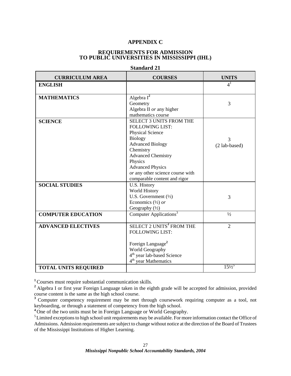### **APPENDIX C**

### **REQUIREMENTS FOR ADMISSION TO PUBLIC UNIVERSITIES IN MISSISSIPPI (IHL)**

| <b>CURRICULUM AREA</b>      | <b>COURSES</b>                         | <b>UNITS</b>    |
|-----------------------------|----------------------------------------|-----------------|
| <b>ENGLISH</b>              |                                        | 4 <sup>1</sup>  |
|                             |                                        |                 |
| <b>MATHEMATICS</b>          | Algebra $I^2$                          |                 |
|                             | Geometry                               | 3               |
|                             | Algebra II or any higher               |                 |
|                             | mathematics course                     |                 |
| <b>SCIENCE</b>              | <b>SELECT 3 UNITS FROM THE</b>         |                 |
|                             | <b>FOLLOWING LIST:</b>                 |                 |
|                             | Physical Science                       |                 |
|                             | <b>Biology</b>                         | 3               |
|                             | <b>Advanced Biology</b>                | (2 lab-based)   |
|                             | Chemistry                              |                 |
|                             | <b>Advanced Chemistry</b>              |                 |
|                             | Physics                                |                 |
|                             | <b>Advanced Physics</b>                |                 |
|                             | or any other science course with       |                 |
|                             | comparable content and rigor           |                 |
| <b>SOCIAL STUDIES</b>       | U.S. History                           |                 |
|                             | World History                          |                 |
|                             | U.S. Government $(\frac{1}{2})$        | 3               |
|                             | Economics $(\frac{1}{2})$ or           |                 |
|                             | Geography $(\frac{1}{2})$              |                 |
| <b>COMPUTER EDUCATION</b>   | Computer Applications <sup>3</sup>     | $\frac{1}{2}$   |
|                             |                                        |                 |
| <b>ADVANCED ELECTIVES</b>   | SELECT 2 UNITS <sup>4</sup> FROM THE   | $\overline{2}$  |
|                             | <b>FOLLOWING LIST:</b>                 |                 |
|                             | Foreign Language <sup>2</sup>          |                 |
|                             | World Geography                        |                 |
|                             | 4 <sup>th</sup> year lab-based Science |                 |
|                             | 4 <sup>th</sup> year Mathematics       |                 |
|                             |                                        | $15\frac{1}{2}$ |
| <b>TOTAL UNITS REQUIRED</b> |                                        |                 |

### **Standard 21**

**<sup>1</sup>**Courses must require substantial communication skills.

<sup>2</sup> Algebra I or first year Foreign Language taken in the eighth grade will be accepted for admission, provided course content is the same as the high school course.

<sup>3</sup> Computer competency requirement may be met through coursework requiring computer as a tool, not keyboarding, or through a statement of competency from the high school.

**<sup>4</sup>** One of the two units must be in Foreign Language or World Geography.

<sup>5</sup>Limited exceptions to high school unit requirements may be available. For more information contact the Office of Admissions. Admission requirements are subject to change without notice at the direction of the Board of Trustees of the Mississippi Institutions of Higher Learning.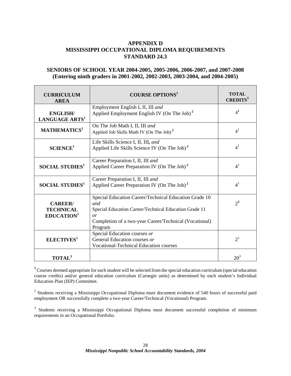### **APPENDIX D MISSISSIPPI OCCUPATIONAL DIPLOMA REQUIREMENTS STANDARD 24.3**

### **SENIORS OF SCHOOL YEAR 2004-2005, 2005-2006, 2006-2007, and 2007-2008 (Entering ninth graders in 2001-2002, 2002-2003, 2003-2004, and 2004-2005)**

| <b>CURRICULUM</b><br><b>AREA</b>                            | <b>COURSE OPTIONS</b> <sup>1</sup>                                                                                                                                                               | TOTAL<br><b>CREDITS</b> |
|-------------------------------------------------------------|--------------------------------------------------------------------------------------------------------------------------------------------------------------------------------------------------|-------------------------|
| <b>ENGLISH/</b><br>LANGUAGE ARTS <sup>1</sup>               | Employment English I, II, III and<br>Applied Employment English IV (On The Job) <sup>2</sup>                                                                                                     | 4 <sup>1</sup>          |
| MATHEMATICS <sup>1</sup>                                    | On The Job Math I, II, III and<br>Applied Job Skills Math IV (On The Job) <sup>2</sup>                                                                                                           | 4 <sup>1</sup>          |
| SCIENCE <sup>1</sup>                                        | Life Skills Science I, II, III, and<br>Applied Life Skills Science IV (On The Job) <sup>2</sup>                                                                                                  | 4 <sup>1</sup>          |
| <b>SOCIAL STUDIES</b> <sup>1</sup>                          | Career Preparation I, II, III and<br>Applied Career Preparation IV (On The Job) <sup>2</sup>                                                                                                     | 4 <sup>1</sup>          |
| <b>SOCIAL STUDIES</b> <sup>1</sup>                          | Career Preparation I, II, III and<br>Applied Career Preparation IV (On The Job) <sup>2</sup>                                                                                                     | 4 <sup>1</sup>          |
| <b>CAREER</b><br><b>TECHNICAL</b><br>EDUCATION <sup>2</sup> | Special Education Career/Technical Education Grade 10<br>and<br>Special Education Career/Technical Education Grade 11<br>or<br>Completion of a two-year Career/Technical (Vocational)<br>Program | $2^2$                   |
| ELECTIVES <sup>1</sup>                                      | Special Education courses or<br>General Education courses or<br><b>Vocational-Technical Education courses</b>                                                                                    | 2 <sup>1</sup>          |
| <b>TOTAL</b> <sup>3</sup>                                   |                                                                                                                                                                                                  | $20^3$                  |

<sup>1</sup> Courses deemed appropriate for each student will be selected from the special education curriculum (special education course credits) and/or general education curriculum (Carnegie units) as determined by each student's Individual Education Plan (IEP) Committee.

 $2$  Students receiving a Mississippi Occupational Diploma must document evidence of 540 hours of successful paid employment OR successfully complete a two-year Career/Technical (Vocational) Program.

<sup>3</sup> Students receiving a Mississippi Occupational Diploma must document successful completion of minimum requirements in an Occupational Portfolio.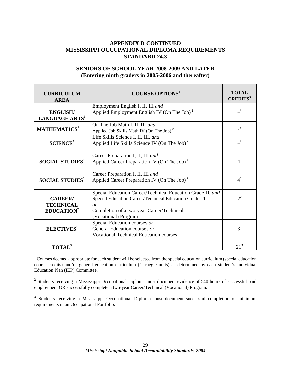### **APPENDIX D CONTINUED MISSISSIPPI OCCUPATIONAL DIPLOMA REQUIREMENTS STANDARD 24.3**

### **SENIORS OF SCHOOL YEAR 2008-2009 AND LATER (Entering ninth graders in 2005-2006 and thereafter)**

| <b>CURRICULUM</b><br><b>AREA</b>                             | <b>COURSE OPTIONS</b> <sup>1</sup>                                                                                                                                                            | TOTAL<br><b>CREDITS</b> |
|--------------------------------------------------------------|-----------------------------------------------------------------------------------------------------------------------------------------------------------------------------------------------|-------------------------|
| <b>ENGLISH/</b><br>LANGUAGE ARTS <sup>1</sup>                | Employment English I, II, III and<br>Applied Employment English IV (On The Job) <sup>2</sup>                                                                                                  | 4 <sup>1</sup>          |
| MATHEMATICS <sup>1</sup>                                     | On The Job Math I, II, III and<br>Applied Job Skills Math IV (On The Job) <sup>2</sup>                                                                                                        | $4^1$                   |
| SCIENCE <sup>1</sup>                                         | Life Skills Science I, II, III, and<br>Applied Life Skills Science IV (On The Job) <sup>2</sup>                                                                                               | 4 <sup>1</sup>          |
| <b>SOCIAL STUDIES</b> <sup>1</sup>                           | Career Preparation I, II, III and<br>Applied Career Preparation IV (On The Job) <sup>2</sup>                                                                                                  | 4 <sup>1</sup>          |
| <b>SOCIAL STUDIES</b> <sup>1</sup>                           | Career Preparation I, II, III and<br>Applied Career Preparation IV (On The Job) <sup>2</sup>                                                                                                  | 4 <sup>1</sup>          |
| <b>CAREER/</b><br><b>TECHNICAL</b><br>EDUCATION <sup>2</sup> | Special Education Career/Technical Education Grade 10 and<br>Special Education Career/Technical Education Grade 11<br>or<br>Completion of a two-year Career/Technical<br>(Vocational) Program | $2^2$                   |
| ELECTIVES <sup>1</sup>                                       | Special Education courses or<br>General Education courses or<br><b>Vocational-Technical Education courses</b>                                                                                 | 3 <sup>1</sup>          |
| TOTAL <sup>3</sup>                                           |                                                                                                                                                                                               | $21^3$                  |

 $1$  Courses deemed appropriate for each student will be selected from the special education curriculum (special education course credits) and/or general education curriculum (Carnegie units) as determined by each student's Individual Education Plan (IEP) Committee.

<sup>2</sup> Students receiving a Mississippi Occupational Diploma must document evidence of 540 hours of successful paid employment OR successfully complete a two-year Career/Technical (Vocational) Program.

<sup>3</sup> Students receiving a Mississippi Occupational Diploma must document successful completion of minimum requirements in an Occupational Portfolio.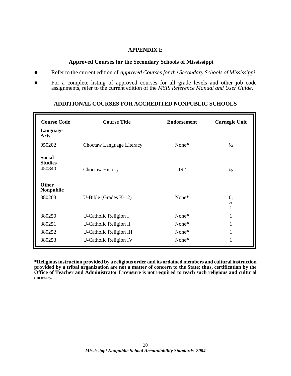### **APPENDIX E**

### **Approved Courses for the Secondary Schools of Mississippi**

- Refer to the current edition of *Approved Courses for the Secondary Schools of Mississippi*.
- For a complete listing of approved courses for all grade levels and other job code assignments, refer to the current edition of the *MSIS Reference Manual and User Guide*.

## **ADDITIONAL COURSES FOR ACCREDITED NONPUBLIC SCHOOLS**

| <b>Course Code</b>                        | <b>Course Title</b>            | <b>Endorsement</b> | <b>Carnegie Unit</b> |
|-------------------------------------------|--------------------------------|--------------------|----------------------|
| Language<br>Arts                          |                                |                    |                      |
| 050202                                    | Choctaw Language Literacy      | None*              | $\frac{1}{2}$        |
| <b>Social</b><br><b>Studies</b><br>450840 | Choctaw History                | 192                | $\frac{1}{2}$        |
| <b>Other</b><br>Nonpublic<br>380203       | U-Bible (Grades $K-12$ )       | None*              | 0,<br>$\frac{1}{2}$  |
| 380250                                    | U-Catholic Religion I          | None*              | 1                    |
| 380251                                    | U-Catholic Religion II         | None*              | 1                    |
| 380252                                    | <b>U-Catholic Religion III</b> | None*              | 1                    |
| 380253                                    | <b>U-Catholic Religion IV</b>  | None*              | 1                    |

**\*Religious instruction provided by a religious order and its ordained members and cultural instruction provided by a tribal organization are not a matter of concern to the State; thus, certification by the Office of Teacher and Administrator Licensure is not required to teach such religious and cultural courses.**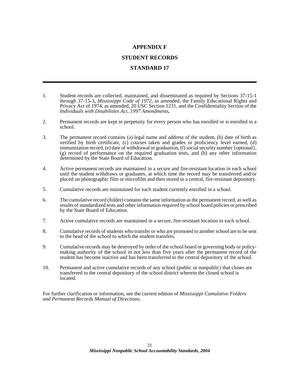### **APPENDIX F**

### **STUDENT RECORDS**

### **STANDARD 17**

- 1. Student records are collected, maintained, and disseminated as required by Sections 37-15-1 through 37-15-3, *Mississippi Code of 1972*, as amended, the Family Educational Rights and Privacy Act of 1974, as amended, 20 USC Section 1231, and the Confidentiality Section of the *Individuals with Disabilities Act, 1997 Amendments.*
- 2. Permanent records are kept in perpetuity for every person who has enrolled or is enrolled in a school.
- 3. The permanent record contains (a) legal name and address of the student, (b) date of birth as verified by birth certificate, (c) courses taken and grades or proficiency level earned, (d) immunization record, (e) date of withdrawal or graduation, (f) social security number {optional}, (g) record of performance on the required graduation tests, and (h) any other information determined by the State Board of Education.
- 4. Active permanent records are maintained in a secure and fire-resistant location in each school until the student withdraws or graduates, at which time the record may be transferred and/or placed on photographic film or microfilm and then stored in a central, fire-resistant depository.
- 5. Cumulative records are maintained for each student currently enrolled in a school.
- 6. The cumulative record (folder) contains the same information as the permanent record, as well as results of standardized tests and other information required by school board policies or prescribed by the State Board of Education.
- 7. Active cumulative records are maintained in a secure, fire-resistant location in each school.
- 8. Cumulative records of students who transfer or who are promoted to another school are to be sent to the head of the school to which the student transfers.
- 9. Cumulative records may be destroyed by order of the school board or governing body or policymaking authority of the school in not less than five years after the permanent record of the student has become inactive and has been transferred to the central depository of the school.
- 10. Permanent and active cumulative records of any school (public or nonpublic) that closes are transferred to the central depository of the school district wherein the closed school is located.

For further clarification or information, see the current edition of *Mississippi Cumulative Folders and Permanent Records Manual of Directions.*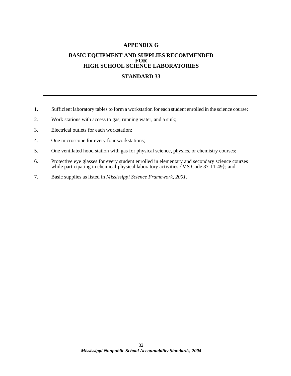### **APPENDIX G**

### **BASIC EQUIPMENT AND SUPPLIES RECOMMENDED FOR HIGH SCHOOL SCIENCE LABORATORIES**

### **STANDARD 33**

- 1. Sufficient laboratory tables to form a workstation for each student enrolled in the science course;
- 2. Work stations with access to gas, running water, and a sink;
- 3. Electrical outlets for each workstation;
- 4. One microscope for every four workstations;
- 5. One ventilated hood station with gas for physical science, physics, or chemistry courses;
- 6. Protective eye glasses for every student enrolled in elementary and secondary science courses while participating in chemical-physical laboratory activities {MS Code 37-11-49}; and
- 7. Basic supplies as listed in *Mississippi Science Framework, 2001*.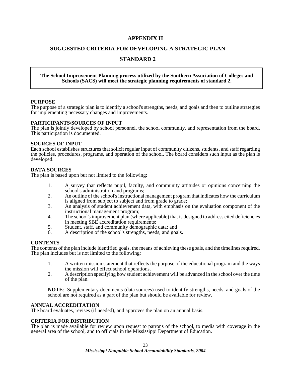### **APPENDIX H**

### **SUGGESTED CRITERIA FOR DEVELOPING A STRATEGIC PLAN**

### **STANDARD 2**

### **The School Improvement Planning process utilized by the Southern Association of Colleges and Schools (SACS) will meet the strategic planning requirements of standard 2.**

### **PURPOSE**

The purpose of a strategic plan is to identify a school's strengths, needs, and goals and then to outline strategies for implementing necessary changes and improvements.

### **PARTICIPANTS/SOURCES OF INPUT**

The plan is jointly developed by school personnel, the school community, and representation from the board. This participation is documented.

### **SOURCES OF INPUT**

Each school establishes structures that solicit regular input of community citizens, students, and staff regarding the policies, procedures, programs, and operation of the school. The board considers such input as the plan is developed.

### **DATA SOURCES**

The plan is based upon but not limited to the following:

- 1. A survey that reflects pupil, faculty, and community attitudes or opinions concerning the school's administration and programs;
- 2. An outline of the school's instructional management program that indicates how the curriculum is aligned from subject to subject and from grade to grade;
- 3. An analysis of student achievement data, with emphasis on the evaluation component of the instructional management program;
- 4. The school's improvement plan (where applicable) that is designed to address cited deficiencies in meeting SBE accreditation requirements;
- 5. Student, staff, and community demographic data; and
- A description of the school's strengths, needs, and goals.

### **CONTENTS**

The contents of the plan include identified goals, the means of achieving these goals, and the timelines required. The plan includes but is not limited to the following:

- 1. A written mission statement that reflects the purpose of the educational program and the ways the mission will effect school operations.
- 2. A description specifying how student achievement will be advanced in the school over the time of the plan.

**NOTE**: Supplementary documents (data sources) used to identify strengths, needs, and goals of the school are not required as a part of the plan but should be available for review.

### **ANNUAL ACCREDITATION**

The board evaluates, revises (if needed), and approves the plan on an annual basis.

### **CRITERIA FOR DISTRIBUTION**

The plan is made available for review upon request to patrons of the school, to media with coverage in the general area of the school, and to officials in the Mississippi Department of Education.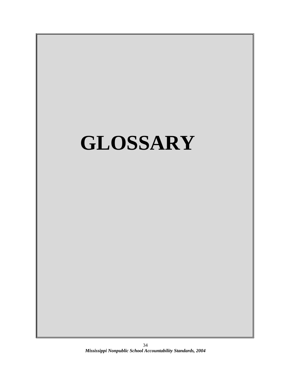# **GLOSSARY**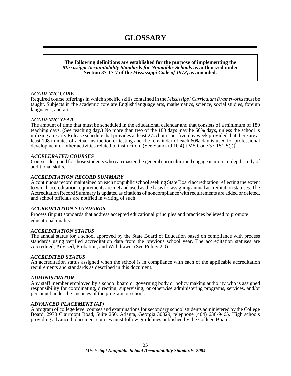# **GLOSSARY**

**The following definitions are established for the purpose of implementing the**  *Mississippi Accountability Standards for Nonpublic Schools* **as authorized under Section 37-17-7 of the** *Mississippi Code of 1972***, as amended.** 

### *ACADEMIC CORE*

Required course offerings in which specific skills contained in the *Mississippi Curriculum Frameworks* must be taught. Subjects in the academic core are English/language arts, mathematics, science, social studies, foreign languages, and arts.

### *ACADEMIC YEAR*

The amount of time that must be scheduled in the educational calendar and that consists of a minimum of 180 teaching days. (See teaching day.) No more than two of the 180 days may be 60% days, unless the school is utilizing an Early Release schedule that provides at least 27.5 hours per five-day week provided that there are at least 198 minutes of actual instruction or testing and the remainder of each 60% day is used for professional development or other activities related to instruction. (See Standard 10.4) {MS Code 37-151-5(j)}

### *ACCELERATED COURSES*

Courses designed for those students who can master the general curriculum and engage in more in-depth study of additional skills.

### *ACCREDITATION RECORD SUMMARY*

A continuous record maintained on each nonpublic school seeking State Board accreditation reflecting the extent to which accreditation requirements are met and used as the basis for assigning annual accreditation statuses. The Accreditation Record Summary is updated as citations of noncompliance with requirements are added or deleted, and school officials are notified in writing of such.

### *ACCREDITATION STANDARDS*

Process (input) standards that address accepted educational principles and practices believed to promote educational quality.

### *ACCREDITATION STATUS*

The annual status for a school approved by the State Board of Education based on compliance with process standards using verified accreditation data from the previous school year. The accreditation statuses are Accredited, Advised, Probation, and Withdrawn. (See Policy 2.0)

### *ACCREDITED STATUS*

An accreditation status assigned when the school is in compliance with each of the applicable accreditation requirements and standards as described in this document.

### *ADMINISTRATOR*

Any staff member employed by a school board or governing body or policy making authority who is assigned responsibility for coordinating, directing, supervising, or otherwise administering programs, services, and/or personnel under the auspices of the program or school.

### *ADVANCED PLACEMENT (AP)*

A program of college level courses and examinations for secondary school students administered by the College Board, 2970 Clairmont Road, Suite 250, Atlanta, Georgia 30329, telephone (404) 636-9465. High schools providing advanced placement courses must follow guidelines published by the College Board.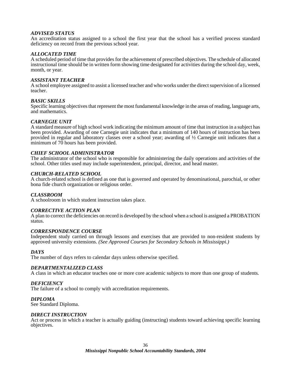### *ADVISED STATUS*

An accreditation status assigned to a school the first year that the school has a verified process standard deficiency on record from the previous school year.

### *ALLOCATED TIME*

A scheduled period of time that provides for the achievement of prescribed objectives. The schedule of allocated instructional time should be in written form showing time designated for activities during the school day, week, month, or year.

### *ASSISTANT TEACHER*

A school employee assigned to assist a licensed teacher and who works under the direct supervision of a licensed teacher.

### *BASIC SKILLS*

Specific learning objectives that represent the most fundamental knowledge in the areas of reading, language arts, and mathematics.

### *CARNEGIE UNIT*

A standard measure of high school work indicating the minimum amount of time that instruction in a subject has been provided. Awarding of one Carnegie unit indicates that a minimum of 140 hours of instruction has been provided in regular and laboratory classes over a school year; awarding of ½ Carnegie unit indicates that a minimum of 70 hours has been provided.

### *CHIEF SCHOOL ADMINISTRATOR*

The administrator of the school who is responsible for administering the daily operations and activities of the school. Other titles used may include superintendent, principal, director, and head master.

### *CHURCH-RELATED SCHOOL*

A church-related school is defined as one that is governed and operated by denominational, parochial, or other bona fide church organization or religious order.

### *CLASSROOM*

A schoolroom in which student instruction takes place.

### *CORRECTIVE ACTION PLAN*

A plan to correct the deficiencies on record is developed by the school when a school is assigned a PROBATION status.

### *CORRESPONDENCE COURSE*

Independent study carried on through lessons and exercises that are provided to non-resident students by approved university extensions. *(See Approved Courses for Secondary Schools in Mississippi.)* 

### *DAYS*

The number of days refers to calendar days unless otherwise specified.

### *DEPARTMENTALIZED CLASS*

A class in which an educator teaches one or more core academic subjects to more than one group of students.

### *DEFICIENCY*

The failure of a school to comply with accreditation requirements.

### *DIPLOMA*

See Standard Diploma.

### *DIRECT INSTRUCTION*

Act or process in which a teacher is actually guiding (instructing) students toward achieving specific learning objectives.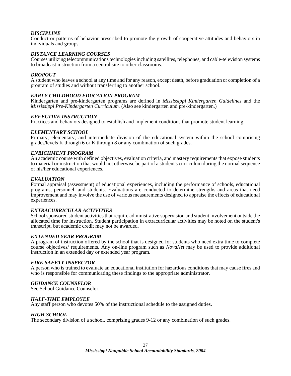### *DISCIPLINE*

Conduct or patterns of behavior prescribed to promote the growth of cooperative attitudes and behaviors in individuals and groups.

### *DISTANCE LEARNING COURSES*

Courses utilizing telecommunications technologies including satellites, telephones, and cable-television systems to broadcast instruction from a central site to other classrooms.

### *DROPOUT*

A student who leaves a school at any time and for any reason, except death, before graduation or completion of a program of studies and without transferring to another school.

### *EARLY CHILDHOOD EDUCATION PROGRAM*

Kindergarten and pre-kindergarten programs are defined in *Mississippi Kindergarten Guidelines* and the *Mississippi Pre-Kindergarten Curriculum.* (Also see kindergarten and pre-kindergarten.)

### *EFFECTIVE INSTRUCTION*

Practices and behaviors designed to establish and implement conditions that promote student learning.

### *ELEMENTARY SCHOOL*

Primary, elementary, and intermediate division of the educational system within the school comprising grades/levels K through 6 or K through 8 or any combination of such grades.

### *ENRICHMENT PROGRAM*

An academic course with defined objectives, evaluation criteria, and mastery requirements that expose students to material or instruction that would not otherwise be part of a student's curriculum during the normal sequence of his/her educational experiences.

### *EVALUATION*

Formal appraisal (assessment) of educational experiences, including the performance of schools, educational programs, personnel, and students. Evaluations are conducted to determine strengths and areas that need improvement and may involve the use of various measurements designed to appraise the effects of educational experiences.

### *EXTRACURRICULAR ACTIVITIES*

School sponsored student activities that require administrative supervision and student involvement outside the allocated time for instruction. Student participation in extracurricular activities may be noted on the student's transcript, but academic credit may not be awarded.

### *EXTENDED YEAR PROGRAM*

A program of instruction offered by the school that is designed for students who need extra time to complete course objectives/ requirements. Any on-line program such as *NovaNet* may be used to provide additional instruction in an extended day or extended year program.

### *FIRE SAFETY INSPECTOR*

A person who is trained to evaluate an educational institution for hazardous conditions that may cause fires and who is responsible for communicating these findings to the appropriate administrator.

### *GUIDANCE COUNSELOR*

See School Guidance Counselor.

### *HALF-TIME EMPLOYEE*

Any staff person who devotes 50% of the instructional schedule to the assigned duties.

### *HIGH SCHOOL*

The secondary division of a school, comprising grades 9-12 or any combination of such grades.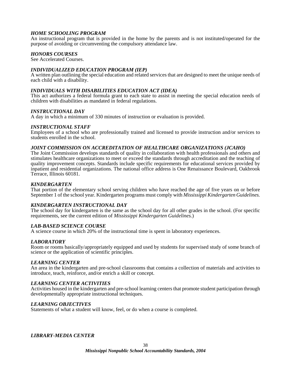### *HOME SCHOOLING PROGRAM*

An instructional program that is provided in the home by the parents and is not instituted/operated for the purpose of avoiding or circumventing the compulsory attendance law.

### *HONORS COURSES*

See Accelerated Courses.

### *INDIVIDUALIZED EDUCATION PROGRAM (IEP)*

A written plan outlining the special education and related services that are designed to meet the unique needs of each child with a disability.

### *INDIVIDUALS WITH DISABILITIES EDUCATION ACT (IDEA)*

This act authorizes a federal formula grant to each state to assist in meeting the special education needs of children with disabilities as mandated in federal regulations.

### *INSTRUCTIONAL DAY*

A day in which a minimum of 330 minutes of instruction or evaluation is provided.

### *INSTRUCTIONAL STAFF*

Employees of a school who are professionally trained and licensed to provide instruction and/or services to students enrolled in the school.

### *JOINT COMMISSION ON ACCREDITATION OF HEALTHCARE ORGANIZATIONS (JCAHO)*

The Joint Commission develops standards of quality in collaboration with health professionals and others and stimulates healthcare organizations to meet or exceed the standards through accreditation and the teaching of quality improvement concepts. Standards include specific requirements for educational services provided by inpatient and residential organizations. The national office address is One Renaissance Boulevard, Oakbrook Terrace, Illinois 60181.

### *KINDERGARTEN*

That portion of the elementary school serving children who have reached the age of five years on or before September 1 of the school year. Kindergarten programs must comply with *Mississippi Kindergarten Guidelines.*

### *KINDERGARTEN INSTRUCTIONAL DAY*

The school day for kindergarten is the same as the school day for all other grades in the school. (For specific requirements, see the current edition of *Mississippi Kindergarten Guidelines.*)

### *LAB-BASED SCIENCE COURSE*

A science course in which 20% of the instructional time is spent in laboratory experiences.

### *LABORATORY*

Room or rooms basically/appropriately equipped and used by students for supervised study of some branch of science or the application of scientific principles.

### *LEARNING CENTER*

An area in the kindergarten and pre-school classrooms that contains a collection of materials and activities to introduce, teach, reinforce, and/or enrich a skill or concept.

### *LEARNING CENTER ACTIVITIES*

Activities housed in the kindergarten and pre-school learning centers that promote student participation through developmentally appropriate instructional techniques.

### *LEARNING OBJECTIVES*

Statements of what a student will know, feel, or do when a course is completed.

### *LIBRARY-MEDIA CENTER*

*Mississippi Nonpublic School Accountability Standards, 2004*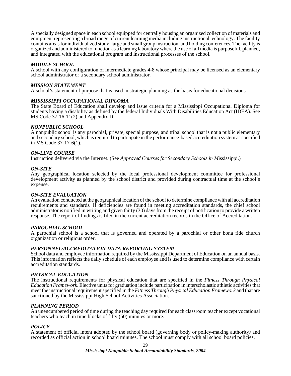A specially designed space in each school equipped for centrally housing an organized collection of materials and equipment representing a broad range of current learning media including instructional technology. The facility contains areas for individualized study, large and small group instruction, and holding conferences. The facility is organized and administered to function as a learning laboratory where the use of all media is purposeful, planned, and integrated with the educational program and instructional processes of the school.

### *MIDDLE SCHOOL*

A school with any configuration of intermediate grades 4-8 whose principal may be licensed as an elementary school administrator or a secondary school administrator.

### *MISSION STATEMENT*

A school's statement of purpose that is used in strategic planning as the basis for educational decisions.

### *MISSISSIPPI OCCUPATIONAL DIPLOMA*

The State Board of Education shall develop and issue criteria for a Mississippi Occupational Diploma for students having a disability as defined by the federal Individuals With Disabilities Education Act (IDEA). See MS Code 37-16-11(2) and Appendix D.

### *NONPUBLIC SCHOOL*

A nonpublic school is any parochial, private, special purpose, and tribal school that is not a public elementary and secondary school, which is required to participate in the performance-based accreditation system as specified in MS Code 37-17-6(1).

### *ON-LINE COURSE*

Instruction delivered via the Internet. (See *Approved Courses for Secondary Schools in M*ississippi.)

### *ON-SITE*

Any geographical location selected by the local professional development committee for professional development activity as planned by the school district and provided during contractual time at the school's expense.

### *ON-SITE EVALUATION*

An evaluation conducted at the geographical location of the school to determine compliance with all accreditation requirements and standards*.* If deficiencies are found in meeting accreditation standards, the chief school administrator is notified in writing and given thirty (30) days from the receipt of notification to provide a written response. The report of findings is filed in the current accreditation records in the Office of Accreditation.

### *PAROCHIAL SCHOOL*

A parochial school is a school that is governed and operated by a parochial or other bona fide church organization or religious order.

### *PERSONNEL/ACCREDITATION DATA REPORTING SYSTEM*

School data and employee information required by the Mississippi Department of Education on an annual basis. This information reflects the daily schedule of each employee and is used to determine compliance with certain accreditation standards.

### *PHYSICAL EDUCATION*

The instructional requirements for physical education that are specified in the *Fitness Through Physical Education Framework*. Elective units for graduation include participation in interscholastic athletic activities that meet the instructional requirement specified in the *Fitness Through Physical Education Framework* and that are sanctioned by the Mississippi High School Activities Association.

### *PLANNING PERIOD*

An unencumbered period of time during the teaching day required for each classroom teacher except vocational teachers who teach in time blocks of fifty (50) minutes or more.

### *POLICY*

A statement of official intent adopted by the school board (governing body or policy-making authority*)* and recorded as official action in school board minutes. The school must comply with all school board policies.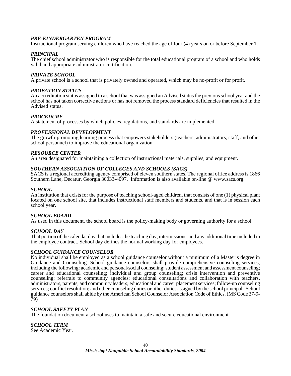### *PRE-KINDERGARTEN PROGRAM*

Instructional program serving children who have reached the age of four (4) years on or before September 1.

### *PRINCIPAL*

The chief school administrator who is responsible for the total educational program of a school and who holds valid and appropriate administrator certification.

### *PRIVATE SCHOOL*

A private school is a school that is privately owned and operated, which may be no-profit or for profit.

### *PROBATION STATUS*

An accreditation status assigned to a school that was assigned an Advised status the previous school year and the school has not taken corrective actions or has not removed the process standard deficiencies that resulted in the Advised status.

### *PROCEDURE*

A statement of processes by which policies, regulations, and standards are implemented.

### *PROFESSIONAL DEVELOPMENT*

The growth-promoting learning process that empowers stakeholders (teachers, administrators, staff, and other school personnel) to improve the educational organization.

### *RESOURCE CENTER*

An area designated for maintaining a collection of instructional materials, supplies, and equipment.

### *SOUTHERN ASSOCIATION OF COLLEGES AND SCHOOLS (SACS)*

SACS is a regional accrediting agency comprised of eleven southern states. The regional office address is 1866 Southern Lane, Decatur, Georgia 30033-4097. Information is also available on-line @ www.sacs.org.

### *SCHOOL*

An institution that exists for the purpose of teaching school-aged children, that consists of one (1) physical plant located on one school site, that includes instructional staff members and students, and that is in session each school year.

### *SCHOOL BOARD*

As used in this document, the school board is the policy-making body or governing authority for a school.

### *SCHOOL DAY*

That portion of the calendar day that includes the teaching day, intermissions, and any additional time included in the employee contract. School day defines the normal working day for employees.

### *SCHOOL GUIDANCE COUNSELOR*

No individual shall be employed as a school guidance counselor without a minimum of a Master's degree in Guidance and Counseling. School guidance counselors shall provide comprehensive counseling services, including the following: academic and personal/social counseling; student assessment and assessment counseling; career and educational counseling; individual and group counseling; crisis intervention and preventive counseling; referrals to community agencies; educational consultations and collaboration with teachers, administrators, parents, and community leaders; educational and career placement services; follow-up counseling services; conflict resolution; and other counseling duties or other duties assigned by the school principal. School guidance counselors shall abide by the American School Counselor Association Code of Ethics. (MS Code 37-9-79)

### *SCHOOL SAFETY PLAN*

The foundation document a school uses to maintain a safe and secure educational environment.

### *SCHOOL TERM*

See Academic Year.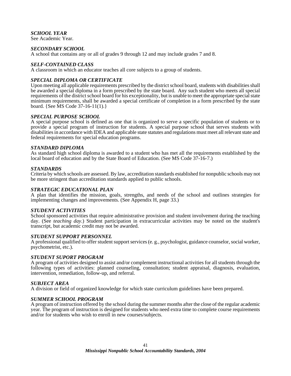### *SCHOOL YEAR*

See Academic Year.

### *SECONDARY SCHOOL*

A school that contains any or all of grades 9 through 12 and may include grades 7 and 8.

### *SELF-CONTAINED CLASS*

A classroom in which an educator teaches all core subjects to a group of students.

### *SPECIAL DIPLOMA OR CERTIFICATE*

Upon meeting all applicable requirements prescribed by the district school board, students with disabilities shall be awarded a special diploma in a form prescribed by the state board. Any such student who meets all special requirements of the district school board for his exceptionality, but is unable to meet the appropriate special state minimum requirements, shall be awarded a special certificate of completion in a form prescribed by the state board. {See MS Code 37-16-11(1).}

### *SPECIAL PURPOSE SCHOOL*

A special purpose school is defined as one that is organized to serve a specific population of students or to provide a special program of instruction for students. A special purpose school that serves students with disabilities in accordance with IDEA and applicable state statutes and regulations must meet all relevant state and federal requirements for special education programs.

### *STANDARD DIPLOMA*

As standard high school diploma is awarded to a student who has met all the requirements established by the local board of education and by the State Board of Education. (See MS Code 37-16-7.)

### *STANDARDS*

Criteria by which schools are assessed. By law, accreditation standards established for nonpublic schools may not be more stringent than accreditation standards applied to public schools.

### *STRATEGIC EDUCATIONAL PLAN*

A plan that identifies the mission, goals, strengths, and needs of the school and outlines strategies for implementing changes and improvements. (See Appendix H, page 33.)

### *STUDENT ACTIVITIES*

School sponsored activities that require administrative provision and student involvement during the teaching day. (See *teaching day*.) Student participation in extracurricular activities may be noted on the student's transcript, but academic credit may not be awarded.

### *STUDENT SUPPORT PERSONNEL*

A professional qualified to offer student support services (e. g., psychologist, guidance counselor, social worker, psychometrist, etc.).

### *STUDENT SUPORT PROGRAM*

A program of activities designed to assist and/or complement instructional activities for all students through the following types of activities: planned counseling, consultation; student appraisal, diagnosis, evaluation, intervention, remediation, follow-up, and referral.

### *SUBJECT AREA*

A division or field of organized knowledge for which state curriculum guidelines have been prepared.

### *SUMMER SCHOOL PROGRAM*

A program of instruction offered by the school during the summer months after the close of the regular academic year. The program of instruction is designed for students who need extra time to complete course requirements and/or for students who wish to enroll in new courses/subjects.